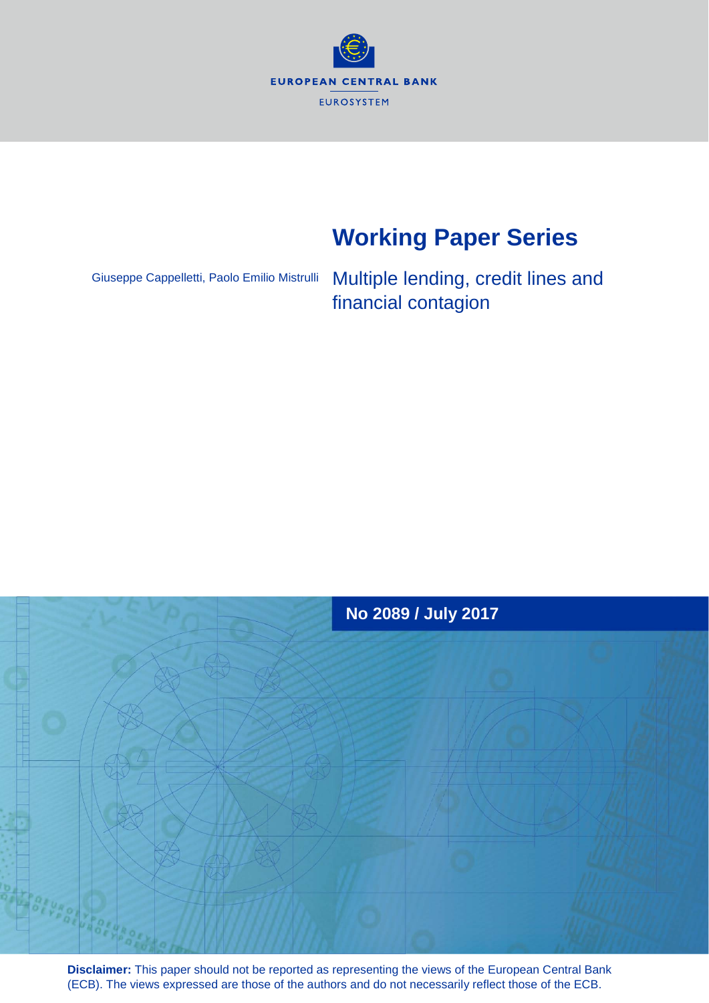

# **Working Paper Series**

Giuseppe Cappelletti, Paolo Emilio Mistrulli

Multiple lending, credit lines and financial contagion



**Disclaimer:** This paper should not be reported as representing the views of the European Central Bank (ECB). The views expressed are those of the authors and do not necessarily reflect those of the ECB.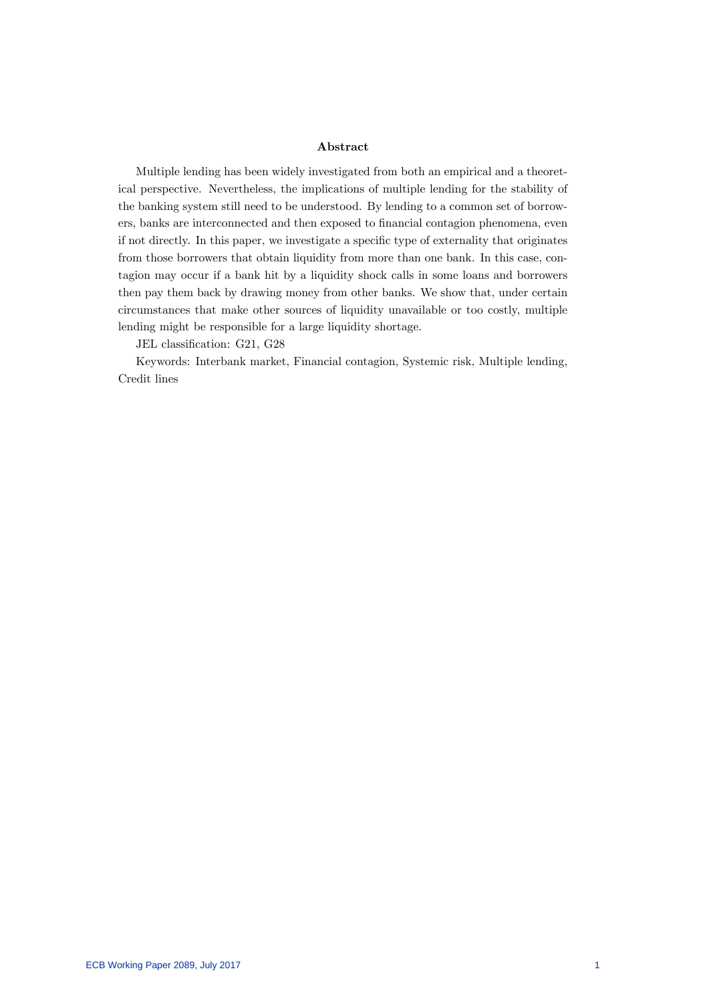#### Abstract

Multiple lending has been widely investigated from both an empirical and a theoretical perspective. Nevertheless, the implications of multiple lending for the stability of the banking system still need to be understood. By lending to a common set of borrowers, banks are interconnected and then exposed to Önancial contagion phenomena, even if not directly. In this paper, we investigate a specific type of externality that originates from those borrowers that obtain liquidity from more than one bank. In this case, contagion may occur if a bank hit by a liquidity shock calls in some loans and borrowers then pay them back by drawing money from other banks. We show that, under certain circumstances that make other sources of liquidity unavailable or too costly, multiple lending might be responsible for a large liquidity shortage.

JEL classification: G21, G28

Keywords: Interbank market, Financial contagion, Systemic risk, Multiple lending, Credit lines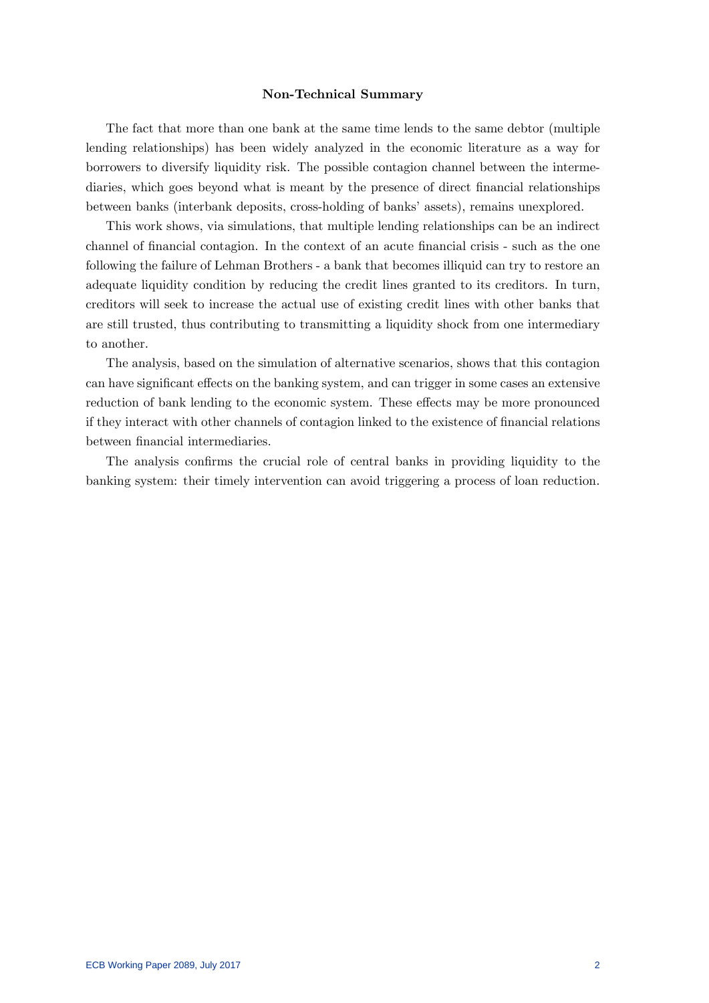#### Non-Technical Summary

The fact that more than one bank at the same time lends to the same debtor (multiple lending relationships) has been widely analyzed in the economic literature as a way for borrowers to diversify liquidity risk. The possible contagion channel between the intermediaries, which goes beyond what is meant by the presence of direct financial relationships between banks (interbank deposits, cross-holding of banks' assets), remains unexplored.

This work shows, via simulations, that multiple lending relationships can be an indirect channel of financial contagion. In the context of an acute financial crisis - such as the one following the failure of Lehman Brothers - a bank that becomes illiquid can try to restore an adequate liquidity condition by reducing the credit lines granted to its creditors. In turn, creditors will seek to increase the actual use of existing credit lines with other banks that are still trusted, thus contributing to transmitting a liquidity shock from one intermediary to another.

The analysis, based on the simulation of alternative scenarios, shows that this contagion can have significant effects on the banking system, and can trigger in some cases an extensive reduction of bank lending to the economic system. These effects may be more pronounced if they interact with other channels of contagion linked to the existence of financial relations between financial intermediaries.

The analysis confirms the crucial role of central banks in providing liquidity to the banking system: their timely intervention can avoid triggering a process of loan reduction.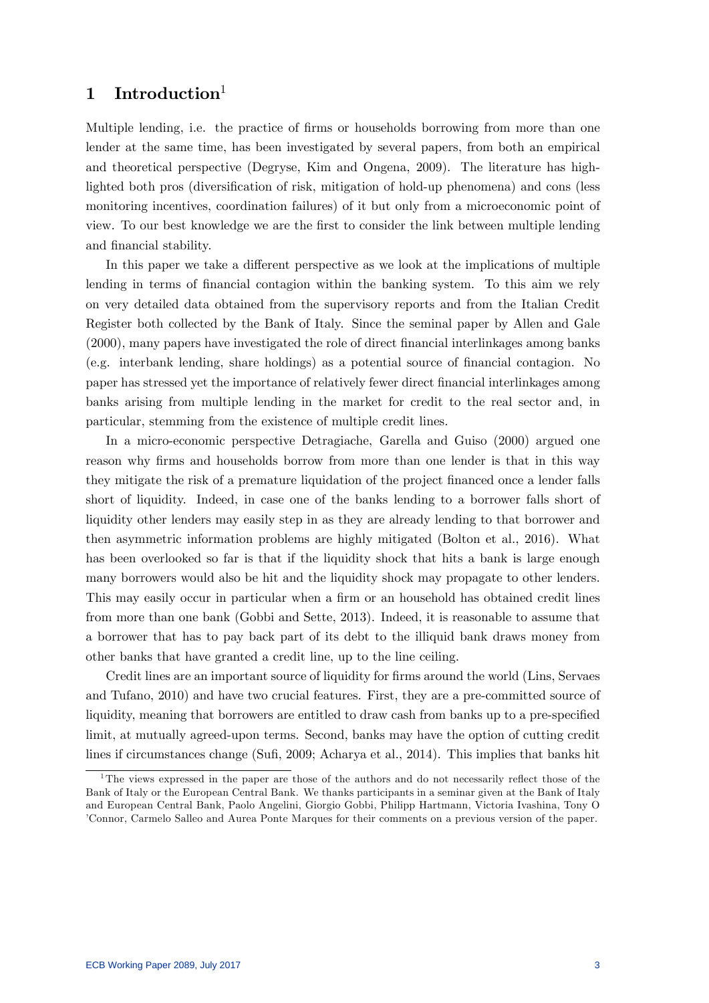# 1 Introduction

Multiple lending, i.e. the practice of firms or households borrowing from more than one lender at the same time, has been investigated by several papers, from both an empirical and theoretical perspective (Degryse, Kim and Ongena, 2009). The literature has highlighted both pros (diversification of risk, mitigation of hold-up phenomena) and cons (less monitoring incentives, coordination failures) of it but only from a microeconomic point of view. To our best knowledge we are the Örst to consider the link between multiple lending and financial stability.

In this paper we take a different perspective as we look at the implications of multiple lending in terms of financial contagion within the banking system. To this aim we rely on very detailed data obtained from the supervisory reports and from the Italian Credit Register both collected by the Bank of Italy. Since the seminal paper by Allen and Gale (2000), many papers have investigated the role of direct Önancial interlinkages among banks (e.g. interbank lending, share holdings) as a potential source of Önancial contagion. No paper has stressed yet the importance of relatively fewer direct Önancial interlinkages among banks arising from multiple lending in the market for credit to the real sector and, in particular, stemming from the existence of multiple credit lines.

In a micro-economic perspective Detragiache, Garella and Guiso (2000) argued one reason why firms and households borrow from more than one lender is that in this way they mitigate the risk of a premature liquidation of the project Önanced once a lender falls short of liquidity. Indeed, in case one of the banks lending to a borrower falls short of liquidity other lenders may easily step in as they are already lending to that borrower and then asymmetric information problems are highly mitigated (Bolton et al., 2016). What has been overlooked so far is that if the liquidity shock that hits a bank is large enough many borrowers would also be hit and the liquidity shock may propagate to other lenders. This may easily occur in particular when a firm or an household has obtained credit lines from more than one bank (Gobbi and Sette, 2013). Indeed, it is reasonable to assume that a borrower that has to pay back part of its debt to the illiquid bank draws money from other banks that have granted a credit line, up to the line ceiling.

Credit lines are an important source of liquidity for firms around the world (Lins, Servaes and Tufano, 2010) and have two crucial features. First, they are a pre-committed source of liquidity, meaning that borrowers are entitled to draw cash from banks up to a pre-specified limit, at mutually agreed-upon terms. Second, banks may have the option of cutting credit lines if circumstances change (Sufi, 2009; Acharya et al., 2014). This implies that banks hit

<sup>&</sup>lt;sup>1</sup>The views expressed in the paper are those of the authors and do not necessarily reflect those of the Bank of Italy or the European Central Bank. We thanks participants in a seminar given at the Bank of Italy and European Central Bank, Paolo Angelini, Giorgio Gobbi, Philipp Hartmann, Victoria Ivashina, Tony O íConnor, Carmelo Salleo and Aurea Ponte Marques for their comments on a previous version of the paper.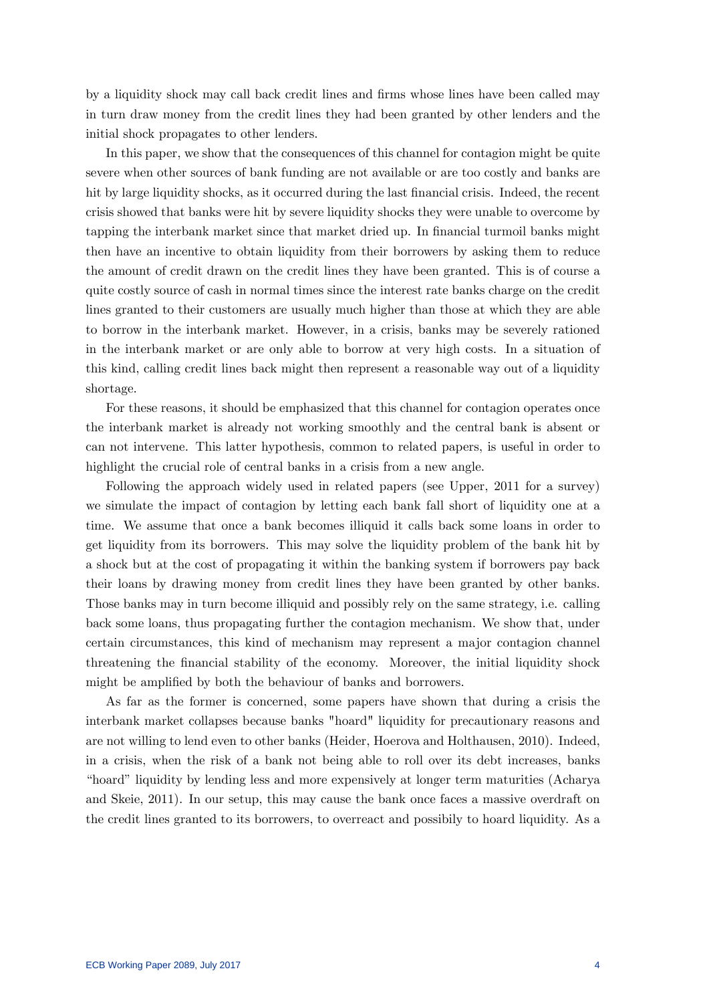by a liquidity shock may call back credit lines and firms whose lines have been called may in turn draw money from the credit lines they had been granted by other lenders and the initial shock propagates to other lenders.

In this paper, we show that the consequences of this channel for contagion might be quite severe when other sources of bank funding are not available or are too costly and banks are hit by large liquidity shocks, as it occurred during the last financial crisis. Indeed, the recent crisis showed that banks were hit by severe liquidity shocks they were unable to overcome by tapping the interbank market since that market dried up. In financial turmoil banks might then have an incentive to obtain liquidity from their borrowers by asking them to reduce the amount of credit drawn on the credit lines they have been granted. This is of course a quite costly source of cash in normal times since the interest rate banks charge on the credit lines granted to their customers are usually much higher than those at which they are able to borrow in the interbank market. However, in a crisis, banks may be severely rationed in the interbank market or are only able to borrow at very high costs. In a situation of this kind, calling credit lines back might then represent a reasonable way out of a liquidity shortage.

For these reasons, it should be emphasized that this channel for contagion operates once the interbank market is already not working smoothly and the central bank is absent or can not intervene. This latter hypothesis, common to related papers, is useful in order to highlight the crucial role of central banks in a crisis from a new angle.

Following the approach widely used in related papers (see Upper, 2011 for a survey) we simulate the impact of contagion by letting each bank fall short of liquidity one at a time. We assume that once a bank becomes illiquid it calls back some loans in order to get liquidity from its borrowers. This may solve the liquidity problem of the bank hit by a shock but at the cost of propagating it within the banking system if borrowers pay back their loans by drawing money from credit lines they have been granted by other banks. Those banks may in turn become illiquid and possibly rely on the same strategy, i.e. calling back some loans, thus propagating further the contagion mechanism. We show that, under certain circumstances, this kind of mechanism may represent a major contagion channel threatening the Önancial stability of the economy. Moreover, the initial liquidity shock might be amplified by both the behaviour of banks and borrowers.

As far as the former is concerned, some papers have shown that during a crisis the interbank market collapses because banks "hoard" liquidity for precautionary reasons and are not willing to lend even to other banks (Heider, Hoerova and Holthausen, 2010). Indeed, in a crisis, when the risk of a bank not being able to roll over its debt increases, banks ìhoardîliquidity by lending less and more expensively at longer term maturities (Acharya and Skeie, 2011). In our setup, this may cause the bank once faces a massive overdraft on the credit lines granted to its borrowers, to overreact and possibily to hoard liquidity. As a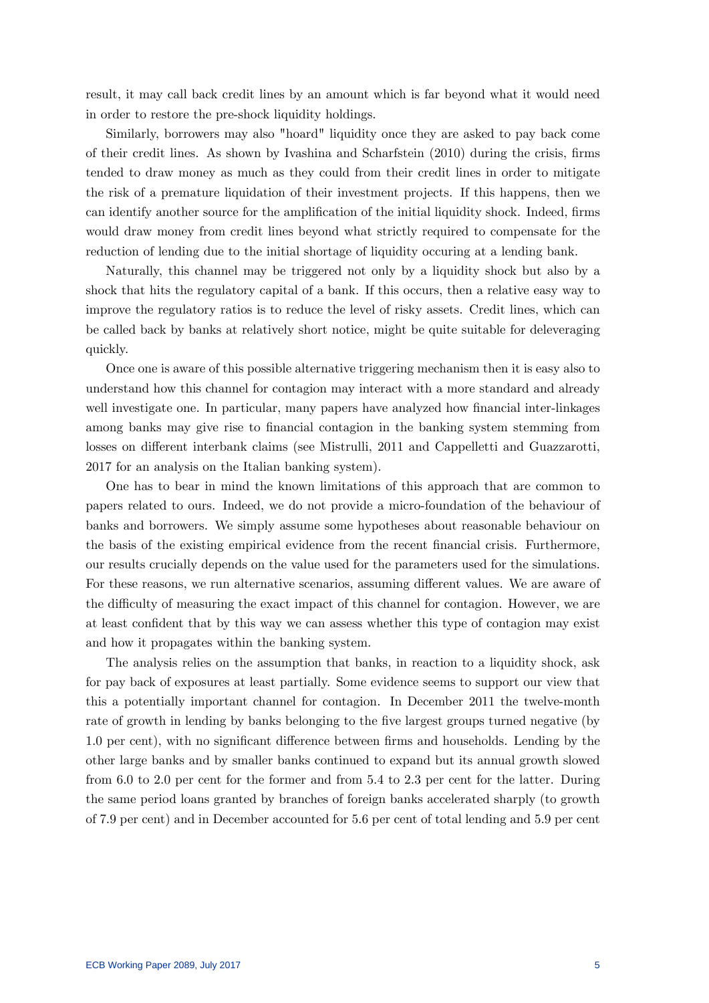result, it may call back credit lines by an amount which is far beyond what it would need in order to restore the pre-shock liquidity holdings.

Similarly, borrowers may also "hoard" liquidity once they are asked to pay back come of their credit lines. As shown by Ivashina and Scharfstein (2010) during the crisis, Örms tended to draw money as much as they could from their credit lines in order to mitigate the risk of a premature liquidation of their investment projects. If this happens, then we can identify another source for the amplification of the initial liquidity shock. Indeed, firms would draw money from credit lines beyond what strictly required to compensate for the reduction of lending due to the initial shortage of liquidity occuring at a lending bank.

Naturally, this channel may be triggered not only by a liquidity shock but also by a shock that hits the regulatory capital of a bank. If this occurs, then a relative easy way to improve the regulatory ratios is to reduce the level of risky assets. Credit lines, which can be called back by banks at relatively short notice, might be quite suitable for deleveraging quickly.

Once one is aware of this possible alternative triggering mechanism then it is easy also to understand how this channel for contagion may interact with a more standard and already well investigate one. In particular, many papers have analyzed how financial inter-linkages among banks may give rise to financial contagion in the banking system stemming from losses on different interbank claims (see Mistrulli, 2011 and Cappelletti and Guazzarotti, 2017 for an analysis on the Italian banking system).

One has to bear in mind the known limitations of this approach that are common to papers related to ours. Indeed, we do not provide a micro-foundation of the behaviour of banks and borrowers. We simply assume some hypotheses about reasonable behaviour on the basis of the existing empirical evidence from the recent financial crisis. Furthermore, our results crucially depends on the value used for the parameters used for the simulations. For these reasons, we run alternative scenarios, assuming different values. We are aware of the difficulty of measuring the exact impact of this channel for contagion. However, we are at least confident that by this way we can assess whether this type of contagion may exist and how it propagates within the banking system.

The analysis relies on the assumption that banks, in reaction to a liquidity shock, ask for pay back of exposures at least partially. Some evidence seems to support our view that this a potentially important channel for contagion. In December 2011 the twelve-month rate of growth in lending by banks belonging to the five largest groups turned negative (by 1.0 per cent), with no significant difference between firms and households. Lending by the other large banks and by smaller banks continued to expand but its annual growth slowed from 6.0 to 2.0 per cent for the former and from 5.4 to 2.3 per cent for the latter. During the same period loans granted by branches of foreign banks accelerated sharply (to growth of 7.9 per cent) and in December accounted for 5.6 per cent of total lending and 5.9 per cent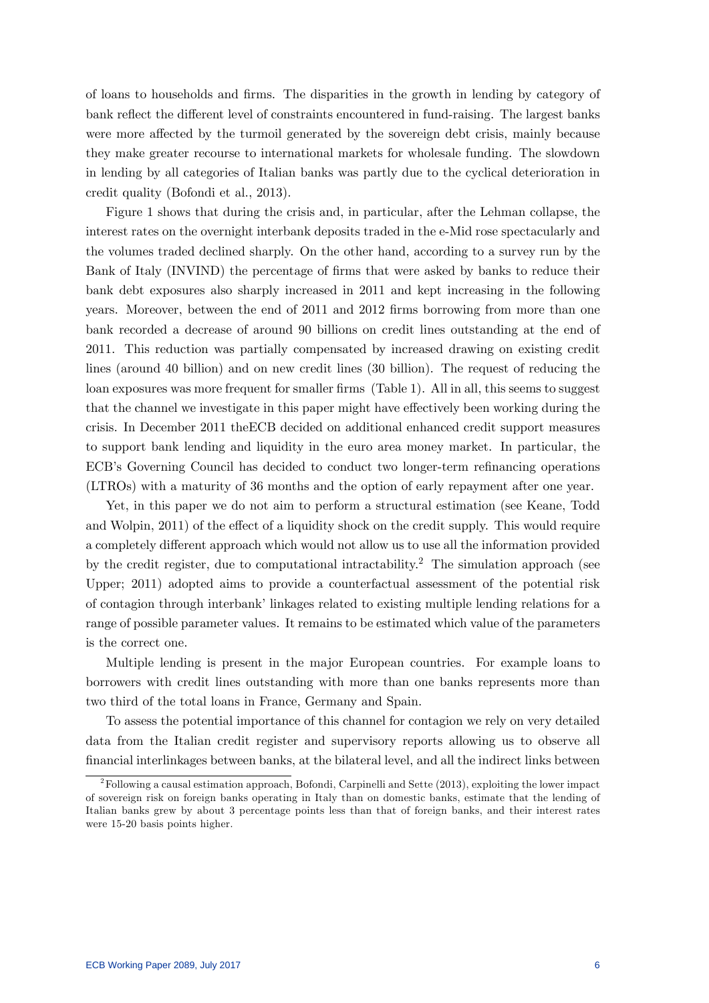of loans to households and Örms. The disparities in the growth in lending by category of bank reflect the different level of constraints encountered in fund-raising. The largest banks were more affected by the turmoil generated by the sovereign debt crisis, mainly because they make greater recourse to international markets for wholesale funding. The slowdown in lending by all categories of Italian banks was partly due to the cyclical deterioration in credit quality (Bofondi et al., 2013).

Figure 1 shows that during the crisis and, in particular, after the Lehman collapse, the interest rates on the overnight interbank deposits traded in the e-Mid rose spectacularly and the volumes traded declined sharply. On the other hand, according to a survey run by the Bank of Italy (INVIND) the percentage of firms that were asked by banks to reduce their bank debt exposures also sharply increased in 2011 and kept increasing in the following years. Moreover, between the end of 2011 and 2012 firms borrowing from more than one bank recorded a decrease of around 90 billions on credit lines outstanding at the end of 2011. This reduction was partially compensated by increased drawing on existing credit lines (around 40 billion) and on new credit lines (30 billion). The request of reducing the loan exposures was more frequent for smaller firms (Table 1). All in all, this seems to suggest that the channel we investigate in this paper might have effectively been working during the crisis. In December 2011 theECB decided on additional enhanced credit support measures to support bank lending and liquidity in the euro area money market. In particular, the ECB's Governing Council has decided to conduct two longer-term refinancing operations (LTROs) with a maturity of 36 months and the option of early repayment after one year.

Yet, in this paper we do not aim to perform a structural estimation (see Keane, Todd and Wolpin, 2011) of the effect of a liquidity shock on the credit supply. This would require a completely different approach which would not allow us to use all the information provided by the credit register, due to computational intractability.<sup>2</sup> The simulation approach (see Upper; 2011) adopted aims to provide a counterfactual assessment of the potential risk of contagion through interbank' linkages related to existing multiple lending relations for a range of possible parameter values. It remains to be estimated which value of the parameters is the correct one.

Multiple lending is present in the major European countries. For example loans to borrowers with credit lines outstanding with more than one banks represents more than two third of the total loans in France, Germany and Spain.

To assess the potential importance of this channel for contagion we rely on very detailed data from the Italian credit register and supervisory reports allowing us to observe all Önancial interlinkages between banks, at the bilateral level, and all the indirect links between

 $2F$ Following a causal estimation approach, Bofondi, Carpinelli and Sette (2013), exploiting the lower impact of sovereign risk on foreign banks operating in Italy than on domestic banks, estimate that the lending of Italian banks grew by about 3 percentage points less than that of foreign banks, and their interest rates were 15-20 basis points higher.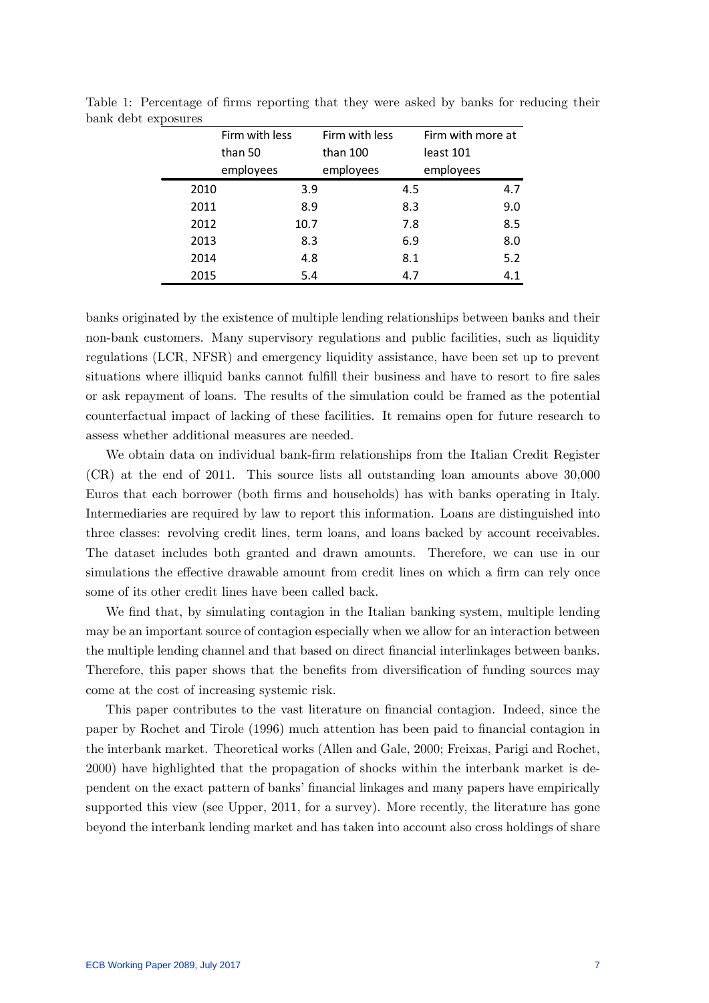|      | Firm with less | Firm with less | Firm with more at |  |  |
|------|----------------|----------------|-------------------|--|--|
|      | than 50        | than 100       | least 101         |  |  |
|      | employees      | employees      | employees         |  |  |
| 2010 | 3.9            | 4.5            | 4.7               |  |  |
| 2011 | 8.9            | 8.3            | 9.0               |  |  |
| 2012 | 10.7           | 7.8            | 8.5               |  |  |
| 2013 | 8.3            | 6.9            | 8.0               |  |  |
| 2014 | 4.8            | 8.1            | 5.2               |  |  |
| 2015 | 5.4            | 4.7            | 4.1               |  |  |

Table 1: Percentage of firms reporting that they were asked by banks for reducing their bank debt exposures

banks originated by the existence of multiple lending relationships between banks and their non-bank customers. Many supervisory regulations and public facilities, such as liquidity regulations (LCR, NFSR) and emergency liquidity assistance, have been set up to prevent situations where illiquid banks cannot fulfill their business and have to resort to fire sales or ask repayment of loans. The results of the simulation could be framed as the potential counterfactual impact of lacking of these facilities. It remains open for future research to assess whether additional measures are needed.

We obtain data on individual bank-firm relationships from the Italian Credit Register (CR) at the end of 2011. This source lists all outstanding loan amounts above 30,000 Euros that each borrower (both Örms and households) has with banks operating in Italy. Intermediaries are required by law to report this information. Loans are distinguished into three classes: revolving credit lines, term loans, and loans backed by account receivables. The dataset includes both granted and drawn amounts. Therefore, we can use in our simulations the effective drawable amount from credit lines on which a firm can rely once some of its other credit lines have been called back.

We find that, by simulating contagion in the Italian banking system, multiple lending may be an important source of contagion especially when we allow for an interaction between the multiple lending channel and that based on direct Önancial interlinkages between banks. Therefore, this paper shows that the benefits from diversification of funding sources may come at the cost of increasing systemic risk.

This paper contributes to the vast literature on financial contagion. Indeed, since the paper by Rochet and Tirole (1996) much attention has been paid to Önancial contagion in the interbank market. Theoretical works (Allen and Gale, 2000; Freixas, Parigi and Rochet, 2000) have highlighted that the propagation of shocks within the interbank market is dependent on the exact pattern of banks' financial linkages and many papers have empirically supported this view (see Upper, 2011, for a survey). More recently, the literature has gone beyond the interbank lending market and has taken into account also cross holdings of share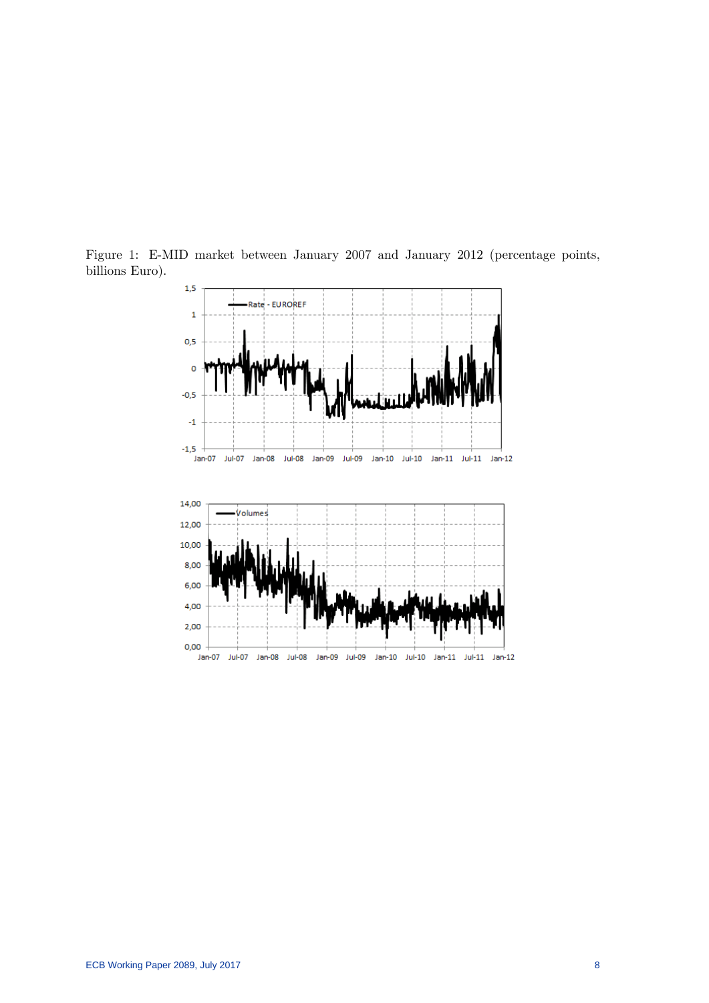

Figure 1: E-MID market between January 2007 and January 2012 (percentage points, billions Euro).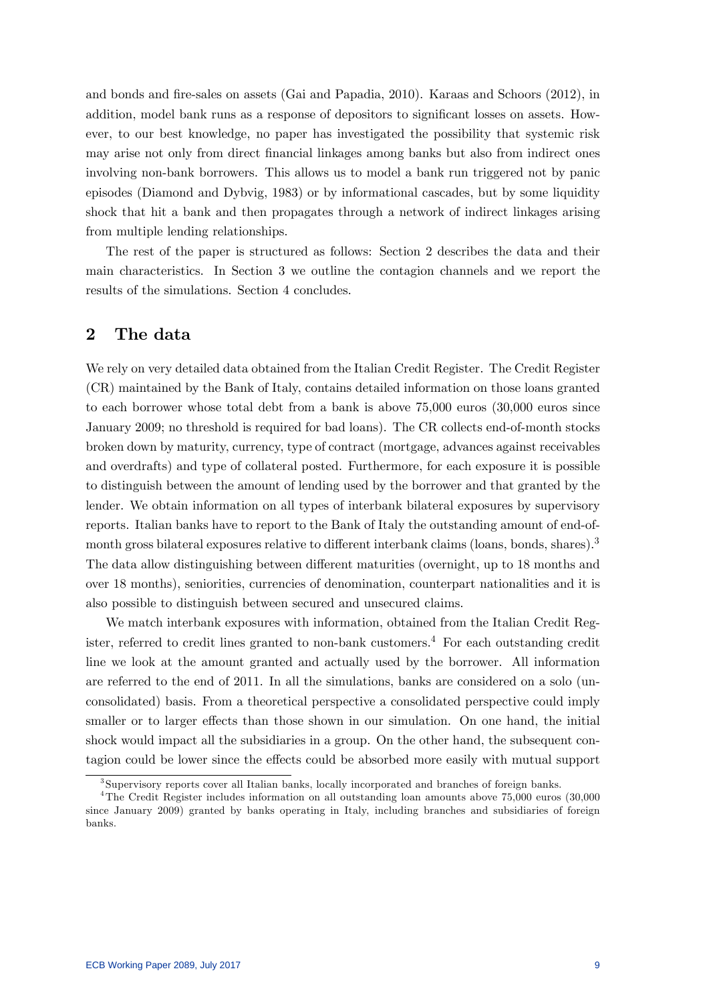and bonds and Öre-sales on assets (Gai and Papadia, 2010). Karaas and Schoors (2012), in addition, model bank runs as a response of depositors to significant losses on assets. However, to our best knowledge, no paper has investigated the possibility that systemic risk may arise not only from direct financial linkages among banks but also from indirect ones involving non-bank borrowers. This allows us to model a bank run triggered not by panic episodes (Diamond and Dybvig, 1983) or by informational cascades, but by some liquidity shock that hit a bank and then propagates through a network of indirect linkages arising from multiple lending relationships.

The rest of the paper is structured as follows: Section 2 describes the data and their main characteristics. In Section 3 we outline the contagion channels and we report the results of the simulations. Section 4 concludes.

# 2 The data

We rely on very detailed data obtained from the Italian Credit Register. The Credit Register (CR) maintained by the Bank of Italy, contains detailed information on those loans granted to each borrower whose total debt from a bank is above 75,000 euros (30,000 euros since January 2009; no threshold is required for bad loans). The CR collects end-of-month stocks broken down by maturity, currency, type of contract (mortgage, advances against receivables and overdrafts) and type of collateral posted. Furthermore, for each exposure it is possible to distinguish between the amount of lending used by the borrower and that granted by the lender. We obtain information on all types of interbank bilateral exposures by supervisory reports. Italian banks have to report to the Bank of Italy the outstanding amount of end-ofmonth gross bilateral exposures relative to different interbank claims (loans, bonds, shares).<sup>3</sup> The data allow distinguishing between different maturities (overnight, up to 18 months and over 18 months), seniorities, currencies of denomination, counterpart nationalities and it is also possible to distinguish between secured and unsecured claims.

We match interbank exposures with information, obtained from the Italian Credit Register, referred to credit lines granted to non-bank customers.<sup>4</sup> For each outstanding credit line we look at the amount granted and actually used by the borrower. All information are referred to the end of 2011. In all the simulations, banks are considered on a solo (unconsolidated) basis. From a theoretical perspective a consolidated perspective could imply smaller or to larger effects than those shown in our simulation. On one hand, the initial shock would impact all the subsidiaries in a group. On the other hand, the subsequent contagion could be lower since the effects could be absorbed more easily with mutual support

<sup>3</sup> Supervisory reports cover all Italian banks, locally incorporated and branches of foreign banks.

<sup>4</sup>The Credit Register includes information on all outstanding loan amounts above 75,000 euros (30,000 since January 2009) granted by banks operating in Italy, including branches and subsidiaries of foreign banks.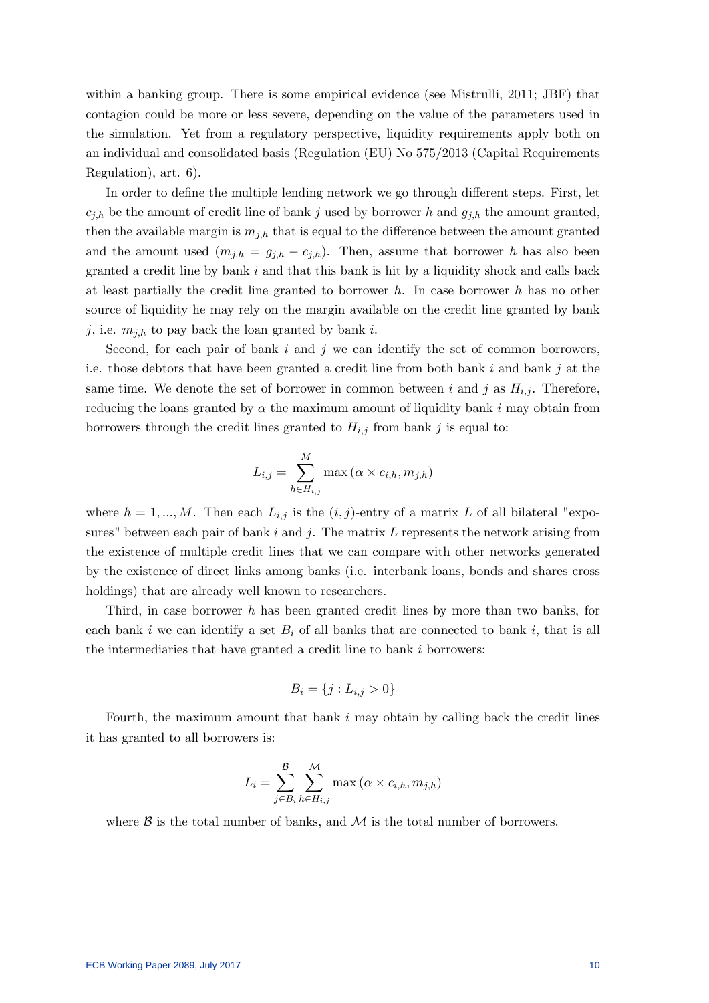within a banking group. There is some empirical evidence (see Mistrulli, 2011; JBF) that contagion could be more or less severe, depending on the value of the parameters used in the simulation. Yet from a regulatory perspective, liquidity requirements apply both on an individual and consolidated basis (Regulation (EU) No 575/2013 (Capital Requirements Regulation), art. 6).

In order to define the multiple lending network we go through different steps. First, let  $c_{j,h}$  be the amount of credit line of bank j used by borrower h and  $g_{j,h}$  the amount granted, then the available margin is  $m_{j,h}$  that is equal to the difference between the amount granted and the amount used  $(m_{j,h} = g_{j,h} - c_{j,h})$ . Then, assume that borrower h has also been granted a credit line by bank  $i$  and that this bank is hit by a liquidity shock and calls back at least partially the credit line granted to borrower  $h$ . In case borrower  $h$  has no other source of liquidity he may rely on the margin available on the credit line granted by bank j, i.e.  $m_{j,h}$  to pay back the loan granted by bank i.

Second, for each pair of bank  $i$  and  $j$  we can identify the set of common borrowers, i.e. those debtors that have been granted a credit line from both bank  $i$  and bank  $j$  at the same time. We denote the set of borrower in common between i and j as  $H_{i,j}$ . Therefore, reducing the loans granted by  $\alpha$  the maximum amount of liquidity bank i may obtain from borrowers through the credit lines granted to  $H_{i,j}$  from bank j is equal to:

$$
L_{i,j} = \sum_{h \in H_{i,j}}^{M} \max(\alpha \times c_{i,h}, m_{j,h})
$$

where  $h = 1, ..., M$ . Then each  $L_{i,j}$  is the  $(i, j)$ -entry of a matrix L of all bilateral "exposures" between each pair of bank  $i$  and  $j$ . The matrix  $L$  represents the network arising from the existence of multiple credit lines that we can compare with other networks generated by the existence of direct links among banks (i.e. interbank loans, bonds and shares cross holdings) that are already well known to researchers.

Third, in case borrower h has been granted credit lines by more than two banks, for each bank i we can identify a set  $B_i$  of all banks that are connected to bank i, that is all the intermediaries that have granted a credit line to bank  $i$  borrowers:

$$
B_i = \{j : L_{i,j} > 0\}
$$

Fourth, the maximum amount that bank  $i$  may obtain by calling back the credit lines it has granted to all borrowers is:

$$
L_i = \sum_{j \in B_i}^{\mathcal{B}} \sum_{h \in H_{i,j}}^{\mathcal{M}} \max\left(\alpha \times c_{i,h}, m_{j,h}\right)
$$

where  $\beta$  is the total number of banks, and  $\mathcal M$  is the total number of borrowers.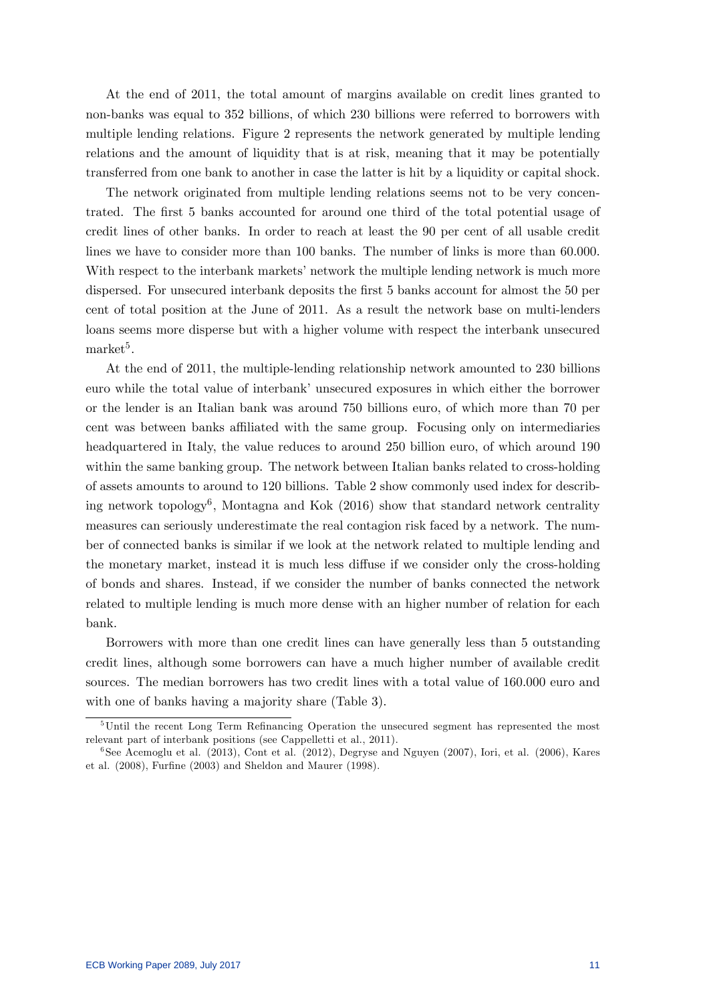At the end of 2011, the total amount of margins available on credit lines granted to non-banks was equal to 352 billions, of which 230 billions were referred to borrowers with multiple lending relations. Figure 2 represents the network generated by multiple lending relations and the amount of liquidity that is at risk, meaning that it may be potentially transferred from one bank to another in case the latter is hit by a liquidity or capital shock.

The network originated from multiple lending relations seems not to be very concentrated. The first 5 banks accounted for around one third of the total potential usage of credit lines of other banks. In order to reach at least the 90 per cent of all usable credit lines we have to consider more than 100 banks. The number of links is more than 60.000. With respect to the interbank markets' network the multiple lending network is much more dispersed. For unsecured interbank deposits the first 5 banks account for almost the 50 per cent of total position at the June of 2011. As a result the network base on multi-lenders loans seems more disperse but with a higher volume with respect the interbank unsecured  $\text{market}^5$ .

At the end of 2011, the multiple-lending relationship network amounted to 230 billions euro while the total value of interbank' unsecured exposures in which either the borrower or the lender is an Italian bank was around 750 billions euro, of which more than 70 per cent was between banks affiliated with the same group. Focusing only on intermediaries headquartered in Italy, the value reduces to around 250 billion euro, of which around 190 within the same banking group. The network between Italian banks related to cross-holding of assets amounts to around to 120 billions. Table 2 show commonly used index for describing network topology<sup>6</sup> , Montagna and Kok (2016) show that standard network centrality measures can seriously underestimate the real contagion risk faced by a network. The number of connected banks is similar if we look at the network related to multiple lending and the monetary market, instead it is much less diffuse if we consider only the cross-holding of bonds and shares. Instead, if we consider the number of banks connected the network related to multiple lending is much more dense with an higher number of relation for each bank.

Borrowers with more than one credit lines can have generally less than 5 outstanding credit lines, although some borrowers can have a much higher number of available credit sources. The median borrowers has two credit lines with a total value of 160.000 euro and with one of banks having a majority share (Table 3).

 $5$ Until the recent Long Term Refinancing Operation the unsecured segment has represented the most relevant part of interbank positions (see Cappelletti et al., 2011).

<sup>6</sup> See Acemoglu et al. (2013), Cont et al. (2012), Degryse and Nguyen (2007), Iori, et al. (2006), Kares et al.  $(2008)$ , Furfine  $(2003)$  and Sheldon and Maurer  $(1998)$ .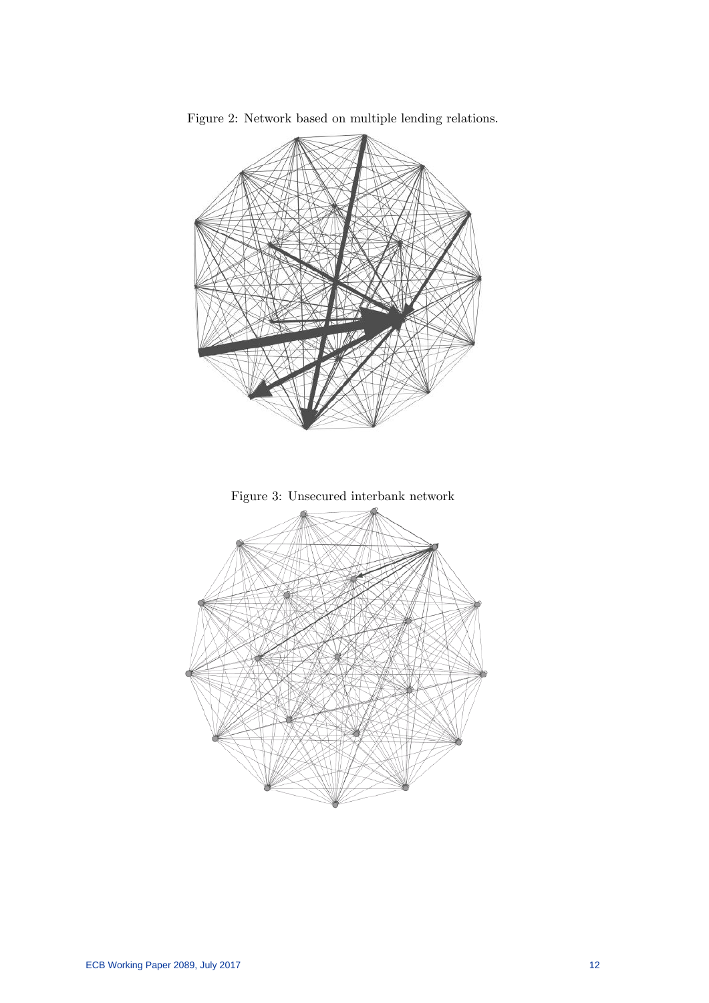

Figure 2: Network based on multiple lending relations.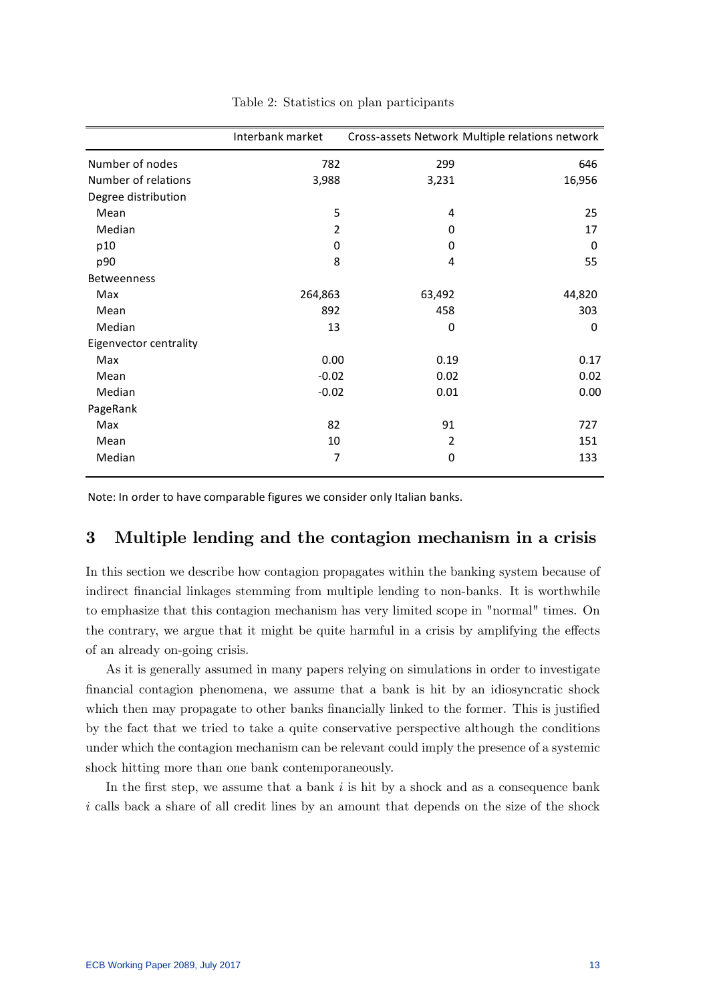|                        | Interbank market |                | Cross-assets Network Multiple relations network |
|------------------------|------------------|----------------|-------------------------------------------------|
| Number of nodes        | 782              | 299            | 646                                             |
| Number of relations    | 3,988            | 3,231          | 16,956                                          |
| Degree distribution    |                  |                |                                                 |
| Mean                   | 5                | 4              | 25                                              |
| Median                 | $\overline{2}$   | 0              | 17                                              |
| p10                    | 0                | 0              | $\Omega$                                        |
| p90                    | 8                | 4              | 55                                              |
| <b>Betweenness</b>     |                  |                |                                                 |
| Max                    | 264,863          | 63,492         | 44,820                                          |
| Mean                   | 892              | 458            | 303                                             |
| Median                 | 13               | $\mathbf 0$    | $\mathbf 0$                                     |
| Eigenvector centrality |                  |                |                                                 |
| Max                    | 0.00             | 0.19           | 0.17                                            |
| Mean                   | $-0.02$          | 0.02           | 0.02                                            |
| Median                 | $-0.02$          | 0.01           | 0.00                                            |
| PageRank               |                  |                |                                                 |
| Max                    | 82               | 91             | 727                                             |
| Mean                   | 10               | $\overline{2}$ | 151                                             |
| Median                 | 7                | 0              | 133                                             |

Table 2: Statistics on plan participants

Note: In order to have comparable figures we consider only Italian banks.

## 3 Multiple lending and the contagion mechanism in a crisis

In this section we describe how contagion propagates within the banking system because of indirect financial linkages stemming from multiple lending to non-banks. It is worthwhile to emphasize that this contagion mechanism has very limited scope in "normal" times. On the contrary, we argue that it might be quite harmful in a crisis by amplifying the effects of an already on-going crisis.

As it is generally assumed in many papers relying on simulations in order to investigate Önancial contagion phenomena, we assume that a bank is hit by an idiosyncratic shock which then may propagate to other banks financially linked to the former. This is justified by the fact that we tried to take a quite conservative perspective although the conditions under which the contagion mechanism can be relevant could imply the presence of a systemic shock hitting more than one bank contemporaneously.

In the first step, we assume that a bank  $i$  is hit by a shock and as a consequence bank i calls back a share of all credit lines by an amount that depends on the size of the shock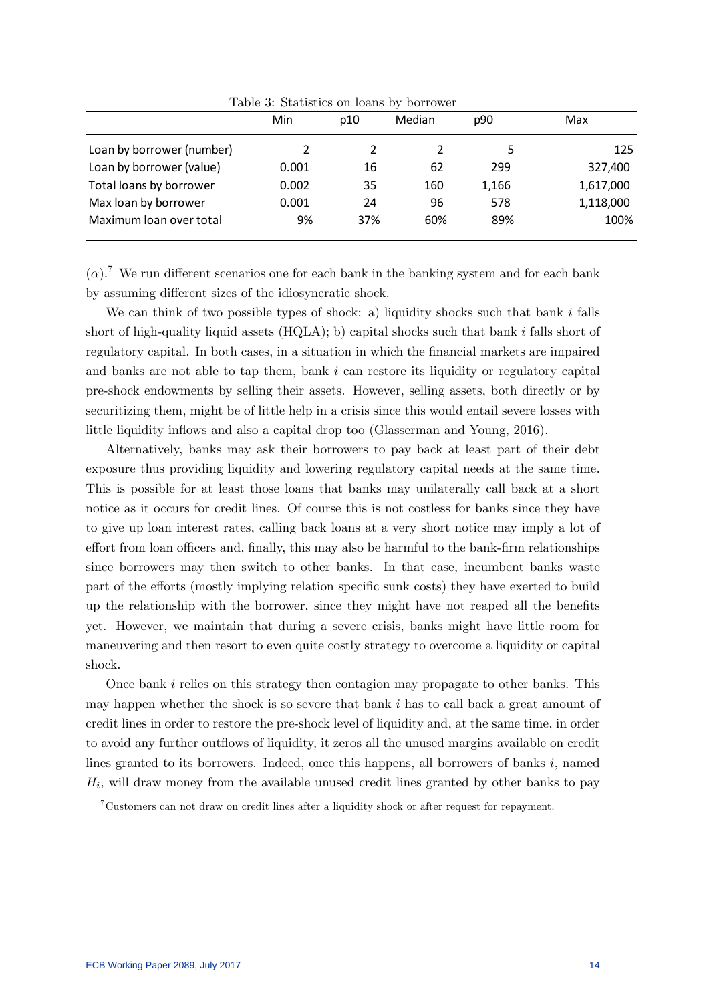|                           | Min   | p10 | Median | p90   | Max       |
|---------------------------|-------|-----|--------|-------|-----------|
| Loan by borrower (number) | 2     |     | 2      | 5     | 125       |
| Loan by borrower (value)  | 0.001 | 16  | 62     | 299   | 327,400   |
| Total loans by borrower   | 0.002 | 35  | 160    | 1,166 | 1,617,000 |
| Max loan by borrower      | 0.001 | 24  | 96     | 578   | 1,118,000 |
| Maximum loan over total   | 9%    | 37% | 60%    | 89%   | 100%      |

Table 3: Statistics on loans by borrower

 $(\alpha)$ .<sup>7</sup> We run different scenarios one for each bank in the banking system and for each bank by assuming different sizes of the idiosyncratic shock.

We can think of two possible types of shock: a) liquidity shocks such that bank i falls short of high-quality liquid assets  $(HQLA)$ ; b) capital shocks such that bank i falls short of regulatory capital. In both cases, in a situation in which the financial markets are impaired and banks are not able to tap them, bank i can restore its liquidity or regulatory capital pre-shock endowments by selling their assets. However, selling assets, both directly or by securitizing them, might be of little help in a crisis since this would entail severe losses with little liquidity inflows and also a capital drop too (Glasserman and Young, 2016).

Alternatively, banks may ask their borrowers to pay back at least part of their debt exposure thus providing liquidity and lowering regulatory capital needs at the same time. This is possible for at least those loans that banks may unilaterally call back at a short notice as it occurs for credit lines. Of course this is not costless for banks since they have to give up loan interest rates, calling back loans at a very short notice may imply a lot of effort from loan officers and, finally, this may also be harmful to the bank-firm relationships since borrowers may then switch to other banks. In that case, incumbent banks waste part of the efforts (mostly implying relation specific sunk costs) they have exerted to build up the relationship with the borrower, since they might have not reaped all the benefits yet. However, we maintain that during a severe crisis, banks might have little room for maneuvering and then resort to even quite costly strategy to overcome a liquidity or capital shock.

Once bank  $i$  relies on this strategy then contagion may propagate to other banks. This may happen whether the shock is so severe that bank  $i$  has to call back a great amount of credit lines in order to restore the pre-shock level of liquidity and, at the same time, in order to avoid any further outflows of liquidity, it zeros all the unused margins available on credit lines granted to its borrowers. Indeed, once this happens, all borrowers of banks  $i$ , named  $H_i$ , will draw money from the available unused credit lines granted by other banks to pay

<sup>7</sup>Customers can not draw on credit lines after a liquidity shock or after request for repayment.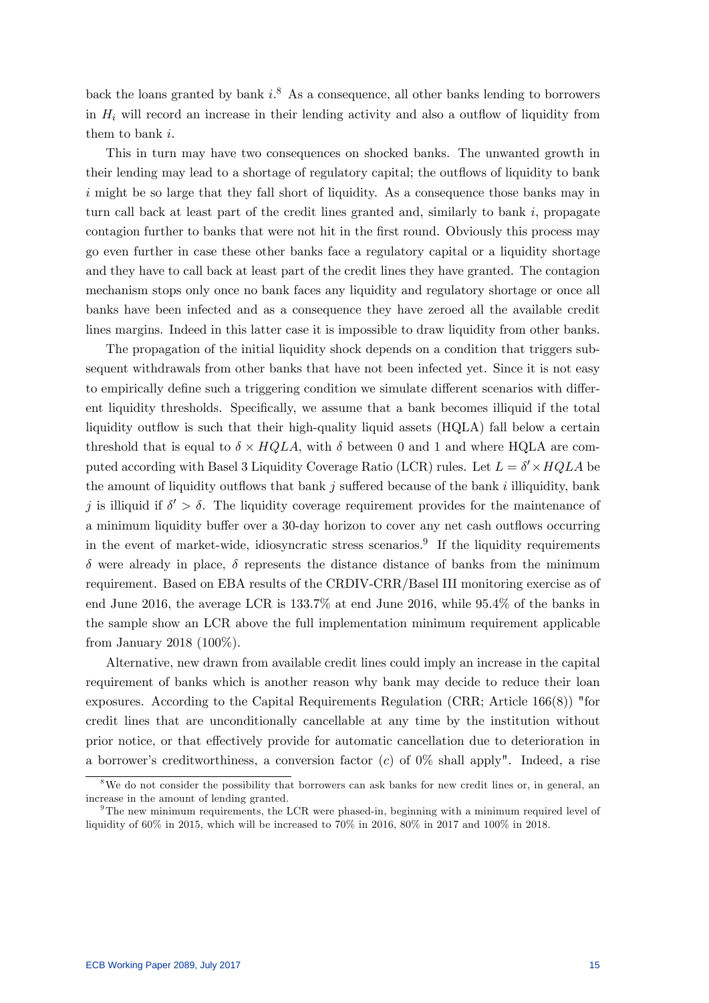back the loans granted by bank  $i$ <sup>8</sup>. As a consequence, all other banks lending to borrowers in  $H_i$  will record an increase in their lending activity and also a outflow of liquidity from them to bank i.

This in turn may have two consequences on shocked banks. The unwanted growth in their lending may lead to a shortage of regulatory capital; the outflows of liquidity to bank  $i$  might be so large that they fall short of liquidity. As a consequence those banks may in turn call back at least part of the credit lines granted and, similarly to bank  $i$ , propagate contagion further to banks that were not hit in the first round. Obviously this process may go even further in case these other banks face a regulatory capital or a liquidity shortage and they have to call back at least part of the credit lines they have granted. The contagion mechanism stops only once no bank faces any liquidity and regulatory shortage or once all banks have been infected and as a consequence they have zeroed all the available credit lines margins. Indeed in this latter case it is impossible to draw liquidity from other banks.

The propagation of the initial liquidity shock depends on a condition that triggers subsequent withdrawals from other banks that have not been infected yet. Since it is not easy to empirically define such a triggering condition we simulate different scenarios with different liquidity thresholds. Specifically, we assume that a bank becomes illiquid if the total liquidity outflow is such that their high-quality liquid assets (HQLA) fall below a certain threshold that is equal to  $\delta \times HQLA$ , with  $\delta$  between 0 and 1 and where HQLA are computed according with Basel 3 Liquidity Coverage Ratio (LCR) rules. Let  $L = \delta' \times HQLA$  be the amount of liquidity outflows that bank j suffered because of the bank  $i$  illiquidity, bank j is illiquid if  $\delta' > \delta$ . The liquidity coverage requirement provides for the maintenance of a minimum liquidity buffer over a 30-day horizon to cover any net cash outflows occurring in the event of market-wide, idiosyncratic stress scenarios.<sup>9</sup> If the liquidity requirements  $\delta$  were already in place,  $\delta$  represents the distance distance of banks from the minimum requirement. Based on EBA results of the CRDIV-CRR/Basel III monitoring exercise as of end June 2016, the average LCR is 133.7% at end June 2016, while 95.4% of the banks in the sample show an LCR above the full implementation minimum requirement applicable from January 2018 (100%).

Alternative, new drawn from available credit lines could imply an increase in the capital requirement of banks which is another reason why bank may decide to reduce their loan exposures. According to the Capital Requirements Regulation (CRR; Article 166(8)) "for credit lines that are unconditionally cancellable at any time by the institution without prior notice, or that effectively provide for automatic cancellation due to deterioration in a borrower's creditworthiness, a conversion factor  $(c)$  of  $0\%$  shall apply". Indeed, a rise

<sup>&</sup>lt;sup>8</sup>We do not consider the possibility that borrowers can ask banks for new credit lines or, in general, an increase in the amount of lending granted.

 $9$ The new minimum requirements, the LCR were phased-in, beginning with a minimum required level of liquidity of 60% in 2015, which will be increased to 70% in 2016, 80% in 2017 and 100% in 2018.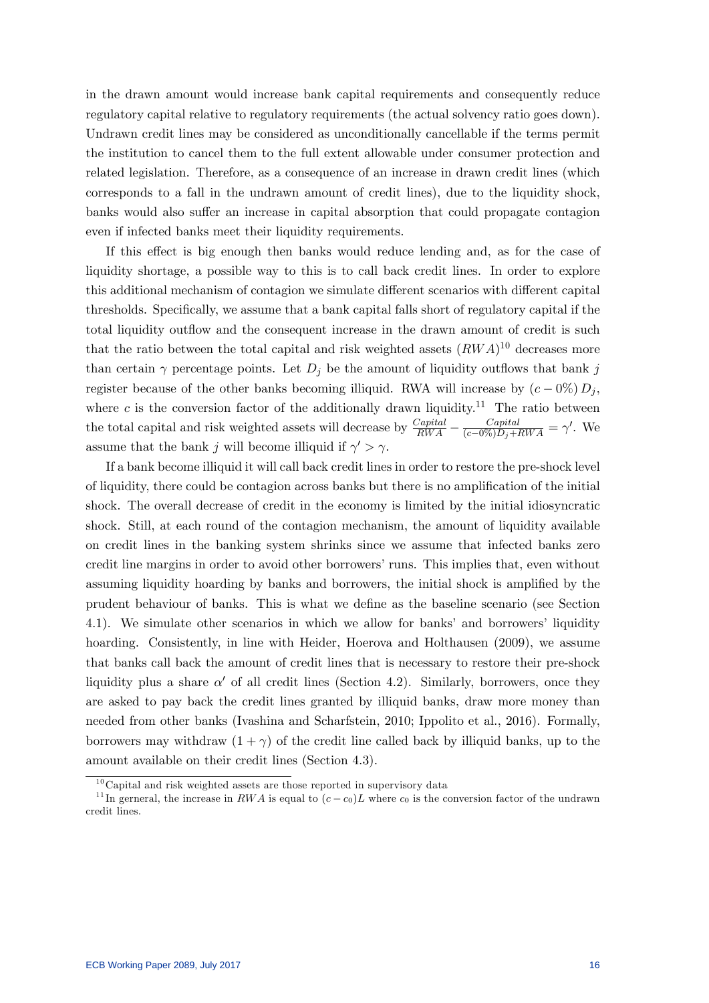in the drawn amount would increase bank capital requirements and consequently reduce regulatory capital relative to regulatory requirements (the actual solvency ratio goes down). Undrawn credit lines may be considered as unconditionally cancellable if the terms permit the institution to cancel them to the full extent allowable under consumer protection and related legislation. Therefore, as a consequence of an increase in drawn credit lines (which corresponds to a fall in the undrawn amount of credit lines), due to the liquidity shock, banks would also suffer an increase in capital absorption that could propagate contagion even if infected banks meet their liquidity requirements.

If this effect is big enough then banks would reduce lending and, as for the case of liquidity shortage, a possible way to this is to call back credit lines. In order to explore this additional mechanism of contagion we simulate different scenarios with different capital thresholds. Specifically, we assume that a bank capital falls short of regulatory capital if the total liquidity outflow and the consequent increase in the drawn amount of credit is such that the ratio between the total capital and risk weighted assets  $(RWA)^{10}$  decreases more than certain  $\gamma$  percentage points. Let  $D_i$  be the amount of liquidity outflows that bank j register because of the other banks becoming illiquid. RWA will increase by  $(c - 0\%) D_i$ , where c is the conversion factor of the additionally drawn liquidity.<sup>11</sup> The ratio between the total capital and risk weighted assets will decrease by  $\frac{Capital}{RWA} - \frac{Capital}{(c-0\%)D_j + RWA} = \gamma'$ . We assume that the bank j will become illiquid if  $\gamma' > \gamma$ .

If a bank become illiquid it will call back credit lines in order to restore the pre-shock level of liquidity, there could be contagion across banks but there is no amplification of the initial shock. The overall decrease of credit in the economy is limited by the initial idiosyncratic shock. Still, at each round of the contagion mechanism, the amount of liquidity available on credit lines in the banking system shrinks since we assume that infected banks zero credit line margins in order to avoid other borrowers' runs. This implies that, even without assuming liquidity hoarding by banks and borrowers, the initial shock is amplified by the prudent behaviour of banks. This is what we define as the baseline scenario (see Section 4.1). We simulate other scenarios in which we allow for banks' and borrowers' liquidity hoarding. Consistently, in line with Heider, Hoerova and Holthausen (2009), we assume that banks call back the amount of credit lines that is necessary to restore their pre-shock liquidity plus a share  $\alpha'$  of all credit lines (Section 4.2). Similarly, borrowers, once they are asked to pay back the credit lines granted by illiquid banks, draw more money than needed from other banks (Ivashina and Scharfstein, 2010; Ippolito et al., 2016). Formally, borrowers may withdraw  $(1 + \gamma)$  of the credit line called back by illiquid banks, up to the amount available on their credit lines (Section 4.3).

 $10$ Capital and risk weighted assets are those reported in supervisory data

<sup>&</sup>lt;sup>11</sup>In gerneral, the increase in RWA is equal to  $(c - c_0)L$  where  $c_0$  is the conversion factor of the undrawn credit lines.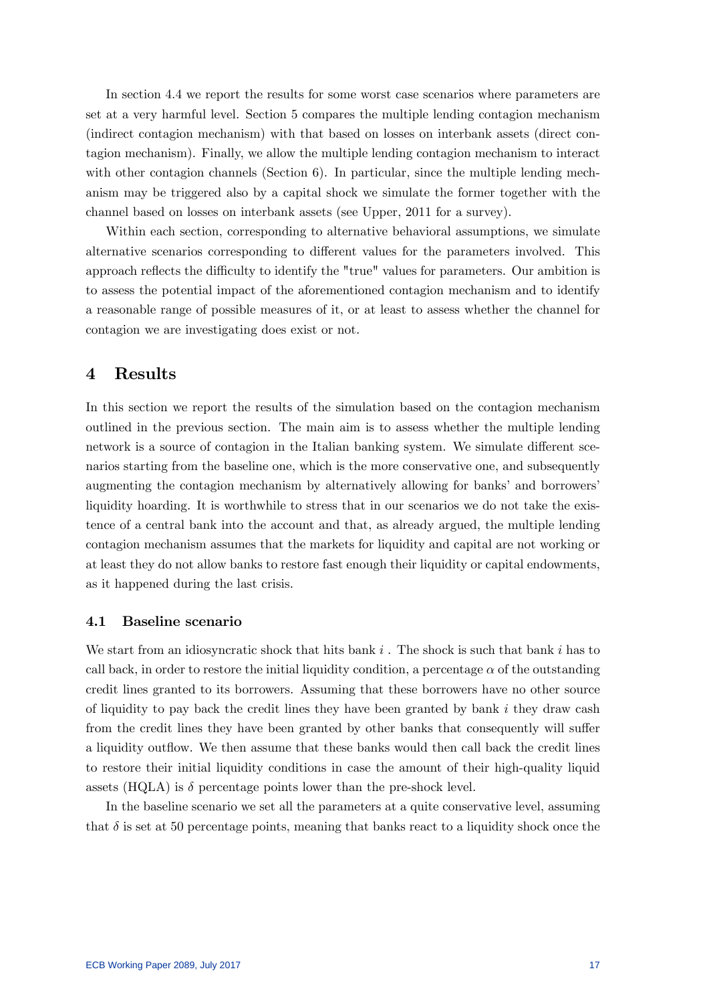In section 4.4 we report the results for some worst case scenarios where parameters are set at a very harmful level. Section 5 compares the multiple lending contagion mechanism (indirect contagion mechanism) with that based on losses on interbank assets (direct contagion mechanism). Finally, we allow the multiple lending contagion mechanism to interact with other contagion channels (Section 6). In particular, since the multiple lending mechanism may be triggered also by a capital shock we simulate the former together with the channel based on losses on interbank assets (see Upper, 2011 for a survey).

Within each section, corresponding to alternative behavioral assumptions, we simulate alternative scenarios corresponding to different values for the parameters involved. This approach reflects the difficulty to identify the "true" values for parameters. Our ambition is to assess the potential impact of the aforementioned contagion mechanism and to identify a reasonable range of possible measures of it, or at least to assess whether the channel for contagion we are investigating does exist or not.

## 4 Results

In this section we report the results of the simulation based on the contagion mechanism outlined in the previous section. The main aim is to assess whether the multiple lending network is a source of contagion in the Italian banking system. We simulate different scenarios starting from the baseline one, which is the more conservative one, and subsequently augmenting the contagion mechanism by alternatively allowing for banks' and borrowers' liquidity hoarding. It is worthwhile to stress that in our scenarios we do not take the existence of a central bank into the account and that, as already argued, the multiple lending contagion mechanism assumes that the markets for liquidity and capital are not working or at least they do not allow banks to restore fast enough their liquidity or capital endowments, as it happened during the last crisis.

#### 4.1 Baseline scenario

We start from an idiosyncratic shock that hits bank  $i$ . The shock is such that bank  $i$  has to call back, in order to restore the initial liquidity condition, a percentage  $\alpha$  of the outstanding credit lines granted to its borrowers. Assuming that these borrowers have no other source of liquidity to pay back the credit lines they have been granted by bank  $i$  they draw cash from the credit lines they have been granted by other banks that consequently will suffer a liquidity outflow. We then assume that these banks would then call back the credit lines to restore their initial liquidity conditions in case the amount of their high-quality liquid assets (HQLA) is  $\delta$  percentage points lower than the pre-shock level.

In the baseline scenario we set all the parameters at a quite conservative level, assuming that  $\delta$  is set at 50 percentage points, meaning that banks react to a liquidity shock once the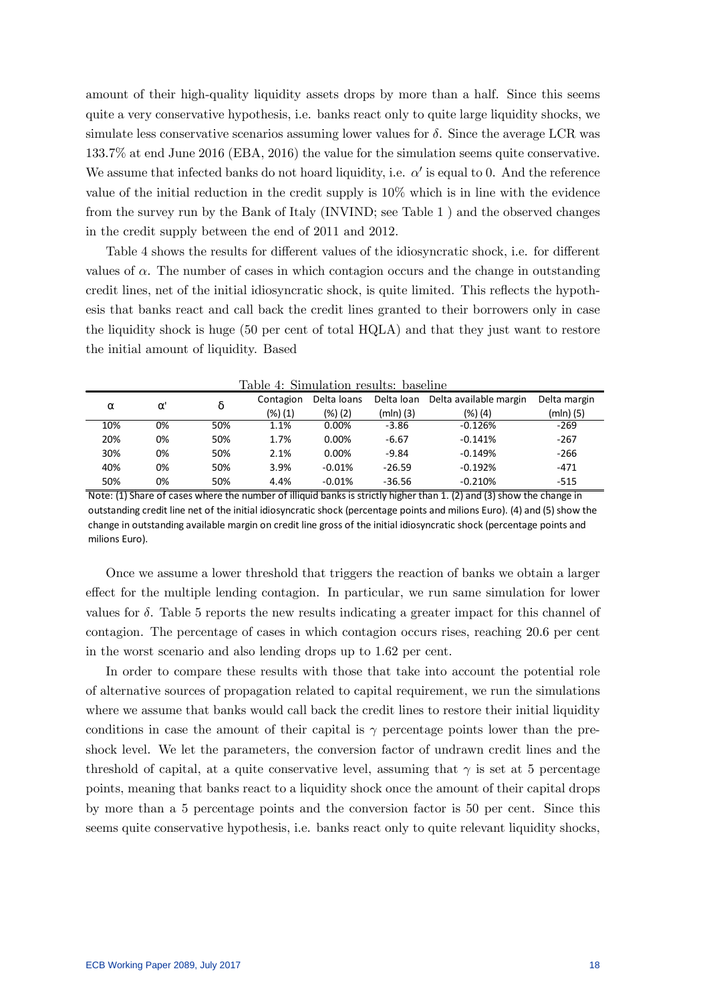amount of their high-quality liquidity assets drops by more than a half. Since this seems quite a very conservative hypothesis, i.e. banks react only to quite large liquidity shocks, we simulate less conservative scenarios assuming lower values for  $\delta$ . Since the average LCR was 133.7% at end June 2016 (EBA, 2016) the value for the simulation seems quite conservative. We assume that infected banks do not hoard liquidity, i.e.  $\alpha'$  is equal to 0. And the reference value of the initial reduction in the credit supply is 10% which is in line with the evidence from the survey run by the Bank of Italy (INVIND; see Table 1 ) and the observed changes in the credit supply between the end of 2011 and 2012.

Table 4 shows the results for different values of the idiosyncratic shock, i.e. for different values of  $\alpha$ . The number of cases in which contagion occurs and the change in outstanding credit lines, net of the initial idiosyncratic shock, is quite limited. This reflects the hypothesis that banks react and call back the credit lines granted to their borrowers only in case the liquidity shock is huge (50 per cent of total HQLA) and that they just want to restore the initial amount of liquidity. Based

|          |          |     |           | rable 4. Shihulation results. Dasemle |           |                                   |              |
|----------|----------|-----|-----------|---------------------------------------|-----------|-----------------------------------|--------------|
|          |          |     | Contagion | Delta loans                           |           | Delta loan Delta available margin | Delta margin |
| $\alpha$ | $\alpha$ |     | (%) (1)   | (%) (2)                               | (mln) (3) | (%) (4)                           | (mln) (5)    |
| 10%      | 0%       | 50% | 1.1%      | 0.00%                                 | $-3.86$   | $-0.126%$                         | $-269$       |
| 20%      | 0%       | 50% | 1.7%      | $0.00\%$                              | $-6.67$   | $-0.141%$                         | $-267$       |
| 30%      | 0%       | 50% | 2.1%      | $0.00\%$                              | $-9.84$   | $-0.149%$                         | $-266$       |
| 40%      | 0%       | 50% | 3.9%      | $-0.01%$                              | $-26.59$  | $-0.192%$                         | $-471$       |
| 50%      | 0%       | 50% | 4.4%      | $-0.01%$                              | $-36.56$  | $-0.210%$                         | $-515$       |

Table 4: Simulation results: baseline

Once we assume a lower threshold that triggers the reaction of banks we obtain a larger effect for the multiple lending contagion. In particular, we run same simulation for lower values for  $\delta$ . Table 5 reports the new results indicating a greater impact for this channel of contagion. The percentage of cases in which contagion occurs rises, reaching 20.6 per cent in the worst scenario and also lending drops up to 1.62 per cent.

In order to compare these results with those that take into account the potential role of alternative sources of propagation related to capital requirement, we run the simulations where we assume that banks would call back the credit lines to restore their initial liquidity conditions in case the amount of their capital is  $\gamma$  percentage points lower than the preshock level. We let the parameters, the conversion factor of undrawn credit lines and the threshold of capital, at a quite conservative level, assuming that  $\gamma$  is set at 5 percentage points, meaning that banks react to a liquidity shock once the amount of their capital drops by more than a 5 percentage points and the conversion factor is 50 per cent. Since this seems quite conservative hypothesis, i.e. banks react only to quite relevant liquidity shocks,

Note: (1) Share of cases where the number of illiquid banks is strictly higher than 1. (2) and (3) show the change in outstanding credit line net of the initial idiosyncratic shock (percentage points and milions Euro). (4) and (5) show the change in outstanding available margin on credit line gross of the initial idiosyncratic shock (percentage points and milions Euro).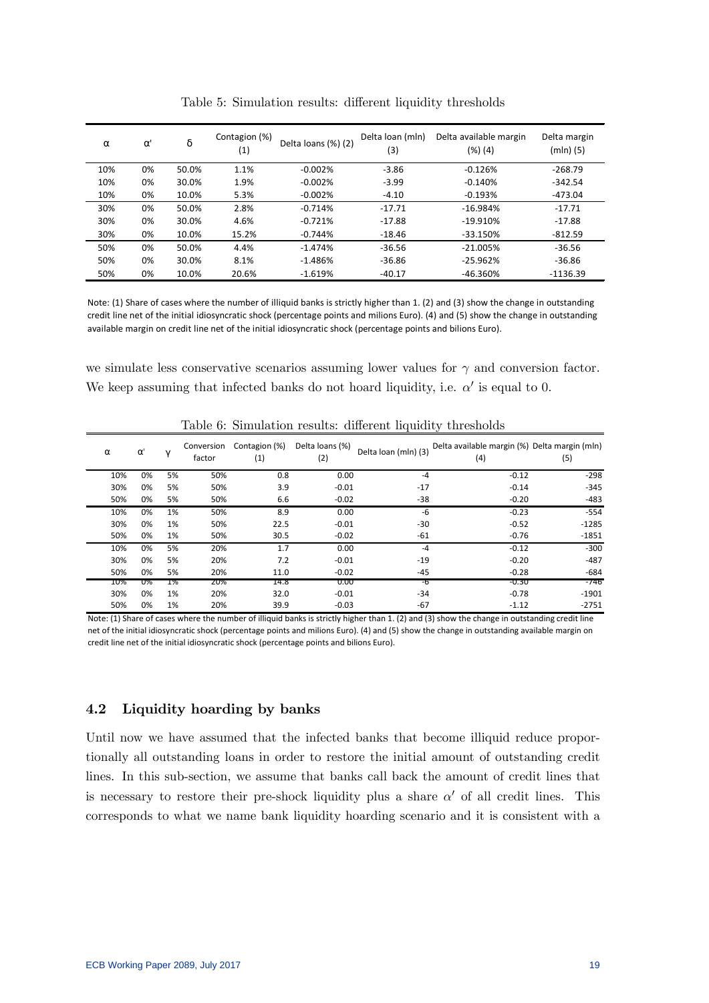| $\alpha$ | $\alpha$ | δ     | Contagion (%)<br>(1) | Delta loans (%) (2) | Delta Ioan (mln)<br>(3) | Delta available margin<br>(%) (4) | Delta margin<br>$(mln)$ (5) |
|----------|----------|-------|----------------------|---------------------|-------------------------|-----------------------------------|-----------------------------|
| 10%      | 0%       | 50.0% | 1.1%                 | $-0.002%$           | $-3.86$                 | $-0.126%$                         | $-268.79$                   |
| 10%      | 0%       | 30.0% | 1.9%                 | $-0.002%$           | $-3.99$                 | $-0.140%$                         | $-342.54$                   |
| 10%      | 0%       | 10.0% | 5.3%                 | $-0.002%$           | $-4.10$                 | $-0.193%$                         | $-473.04$                   |
| 30%      | 0%       | 50.0% | 2.8%                 | $-0.714%$           | $-17.71$                | $-16.984%$                        | $-17.71$                    |
| 30%      | 0%       | 30.0% | 4.6%                 | $-0.721%$           | -17.88                  | $-19.910%$                        | $-17.88$                    |
| 30%      | 0%       | 10.0% | 15.2%                | $-0.744%$           | $-18.46$                | $-33.150%$                        | $-812.59$                   |
| 50%      | 0%       | 50.0% | 4.4%                 | $-1.474%$           | $-36.56$                | $-21.005%$                        | $-36.56$                    |
| 50%      | 0%       | 30.0% | 8.1%                 | $-1.486%$           | $-36.86$                | $-25.962%$                        | $-36.86$                    |
| 50%      | 0%       | 10.0% | 20.6%                | $-1.619%$           | $-40.17$                | $-46.360%$                        | -1136.39                    |

Table 5: Simulation results: different liquidity thresholds

Note: (1) Share of cases where the number of illiquid banks is strictly higher than 1. (2) and (3) show the change in outstanding credit line net of the initial idiosyncratic shock (percentage points and milions Euro). (4) and (5) show the change in outstanding available margin on credit line net of the initial idiosyncratic shock (percentage points and bilions Euro).

we simulate less conservative scenarios assuming lower values for  $\gamma$  and conversion factor. We keep assuming that infected banks do not hoard liquidity, i.e.  $\alpha'$  is equal to 0.

| $\alpha$ | $\alpha$ | $\mathbf v$ | Conversion<br>factor | Contagion (%)<br>(1) | Delta loans (%)<br>(2) | Delta loan (mln) (3) | Delta available margin (%) Delta margin (mln)<br>(4) | (5)     |
|----------|----------|-------------|----------------------|----------------------|------------------------|----------------------|------------------------------------------------------|---------|
| 10%      | 0%       | 5%          | 50%                  | 0.8                  | 0.00                   | $-4$                 | $-0.12$                                              | $-298$  |
| 30%      | 0%       | 5%          | 50%                  | 3.9                  | $-0.01$                | $-17$                | $-0.14$                                              | $-345$  |
| 50%      | 0%       | 5%          | 50%                  | 6.6                  | $-0.02$                | -38                  | $-0.20$                                              | $-483$  |
| 10%      | 0%       | 1%          | 50%                  | 8.9                  | 0.00                   | -6                   | $-0.23$                                              | $-554$  |
| 30%      | 0%       | 1%          | 50%                  | 22.5                 | $-0.01$                | $-30$                | $-0.52$                                              | $-1285$ |
| 50%      | 0%       | 1%          | 50%                  | 30.5                 | $-0.02$                | $-61$                | $-0.76$                                              | $-1851$ |
| 10%      | 0%       | 5%          | 20%                  | 1.7                  | 0.00                   | $-4$                 | $-0.12$                                              | $-300$  |
| 30%      | 0%       | 5%          | 20%                  | 7.2                  | $-0.01$                | $-19$                | $-0.20$                                              | $-487$  |
| 50%      | 0%       | 5%          | 20%                  | 11.0                 | $-0.02$                | $-45$                | $-0.28$                                              | $-684$  |
| 10%      | U%       | 1%          | <b>20%</b>           | 14.8                 | <b>0.00</b>            | -6                   | -0.30                                                | -746    |
| 30%      | 0%       | 1%          | 20%                  | 32.0                 | $-0.01$                | $-34$                | $-0.78$                                              | $-1901$ |
| 50%      | 0%       | 1%          | 20%                  | 39.9                 | $-0.03$                | $-67$                | $-1.12$                                              | $-2751$ |

Table 6: Simulation results: different liquidity thresholds

Note: (1) Share of cases where the number of illiquid banks is strictly higher than 1. (2) and (3) show the change in outstanding credit line net of the initial idiosyncratic shock (percentage points and milions Euro). (4) and (5) show the change in outstanding available margin on credit line net of the initial idiosyncratic shock (percentage points and bilions Euro).

## 4.2 Liquidity hoarding by banks

Until now we have assumed that the infected banks that become illiquid reduce proportionally all outstanding loans in order to restore the initial amount of outstanding credit lines. In this sub-section, we assume that banks call back the amount of credit lines that is necessary to restore their pre-shock liquidity plus a share  $\alpha'$  of all credit lines. This corresponds to what we name bank liquidity hoarding scenario and it is consistent with a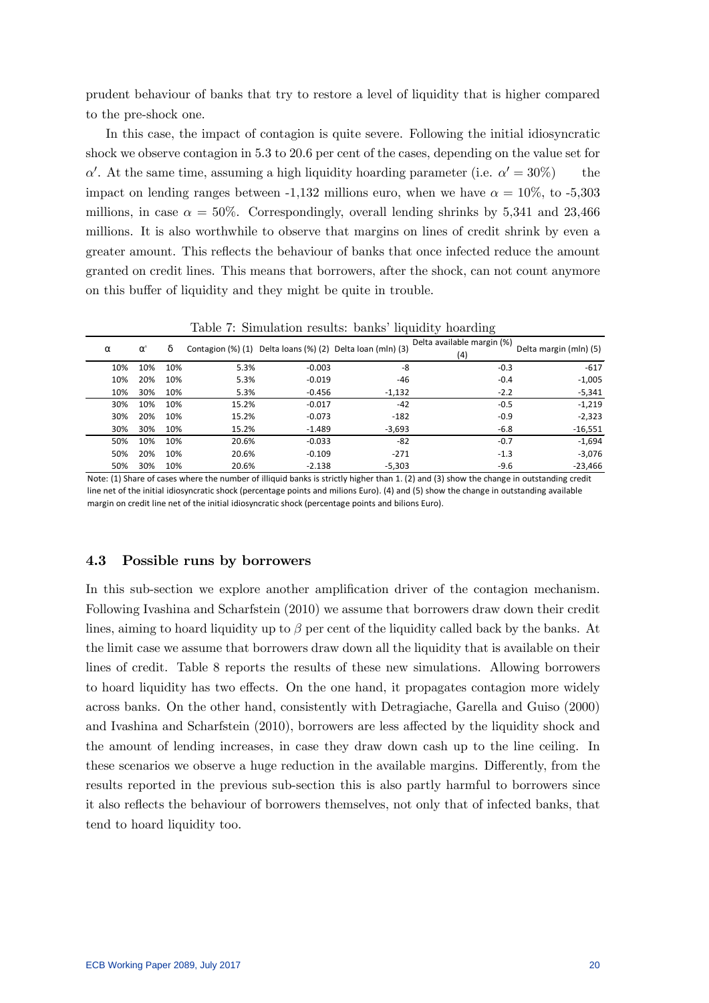prudent behaviour of banks that try to restore a level of liquidity that is higher compared to the pre-shock one.

In this case, the impact of contagion is quite severe. Following the initial idiosyncratic shock we observe contagion in 5.3 to 20.6 per cent of the cases, depending on the value set for  $\alpha'$ . At the same time, assuming a high liquidity hoarding parameter (i.e.  $\alpha' = 30\%)$  the impact on lending ranges between -1,132 millions euro, when we have  $\alpha = 10\%$ , to -5,303 millions, in case  $\alpha = 50\%$ . Correspondingly, overall lending shrinks by 5,341 and 23,466 millions. It is also worthwhile to observe that margins on lines of credit shrink by even a greater amount. This reflects the behaviour of banks that once infected reduce the amount granted on credit lines. This means that borrowers, after the shock, can not count anymore on this buffer of liquidity and they might be quite in trouble.

| $\alpha$ | $\alpha$ | δ   |       |          | Contagion (%) (1) Delta loans (%) (2) Delta loan (mln) (3) | Delta available margin (%)<br>(4) | Delta margin (mln) (5) |
|----------|----------|-----|-------|----------|------------------------------------------------------------|-----------------------------------|------------------------|
| 10%      | 10%      | 10% | 5.3%  | $-0.003$ | -8                                                         | $-0.3$                            | $-617$                 |
| 10%      | 20%      | 10% | 5.3%  | $-0.019$ | -46                                                        | $-0.4$                            | $-1,005$               |
| 10%      | 30%      | 10% | 5.3%  | $-0.456$ | $-1,132$                                                   | $-2.2$                            | $-5,341$               |
| 30%      | 10%      | 10% | 15.2% | $-0.017$ | $-42$                                                      | $-0.5$                            | $-1,219$               |
| 30%      | 20%      | 10% | 15.2% | $-0.073$ | $-182$                                                     | $-0.9$                            | $-2,323$               |
| 30%      | 30%      | 10% | 15.2% | $-1.489$ | $-3,693$                                                   | $-6.8$                            | $-16,551$              |
| 50%      | 10%      | 10% | 20.6% | $-0.033$ | -82                                                        | $-0.7$                            | $-1,694$               |
| 50%      | 20%      | 10% | 20.6% | $-0.109$ | $-271$                                                     | $-1.3$                            | $-3,076$               |
| 50%      | 30%      | 10% | 20.6% | $-2.138$ | $-5,303$                                                   | $-9.6$                            | $-23,466$              |

Table 7: Simulation results: banks' liquidity hoarding

Note: (1) Share of cases where the number of illiquid banks is strictly higher than 1. (2) and (3) show the change in outstanding credit line net of the initial idiosyncratic shock (percentage points and milions Euro). (4) and (5) show the change in outstanding available margin on credit line net of the initial idiosyncratic shock (percentage points and bilions Euro).

#### 4.3 Possible runs by borrowers

In this sub-section we explore another amplification driver of the contagion mechanism. Following Ivashina and Scharfstein (2010) we assume that borrowers draw down their credit lines, aiming to hoard liquidity up to  $\beta$  per cent of the liquidity called back by the banks. At the limit case we assume that borrowers draw down all the liquidity that is available on their lines of credit. Table 8 reports the results of these new simulations. Allowing borrowers to hoard liquidity has two effects. On the one hand, it propagates contagion more widely across banks. On the other hand, consistently with Detragiache, Garella and Guiso (2000) and Ivashina and Scharfstein (2010), borrowers are less affected by the liquidity shock and the amount of lending increases, in case they draw down cash up to the line ceiling. In these scenarios we observe a huge reduction in the available margins. Differently, from the results reported in the previous sub-section this is also partly harmful to borrowers since it also reflects the behaviour of borrowers themselves, not only that of infected banks, that tend to hoard liquidity too.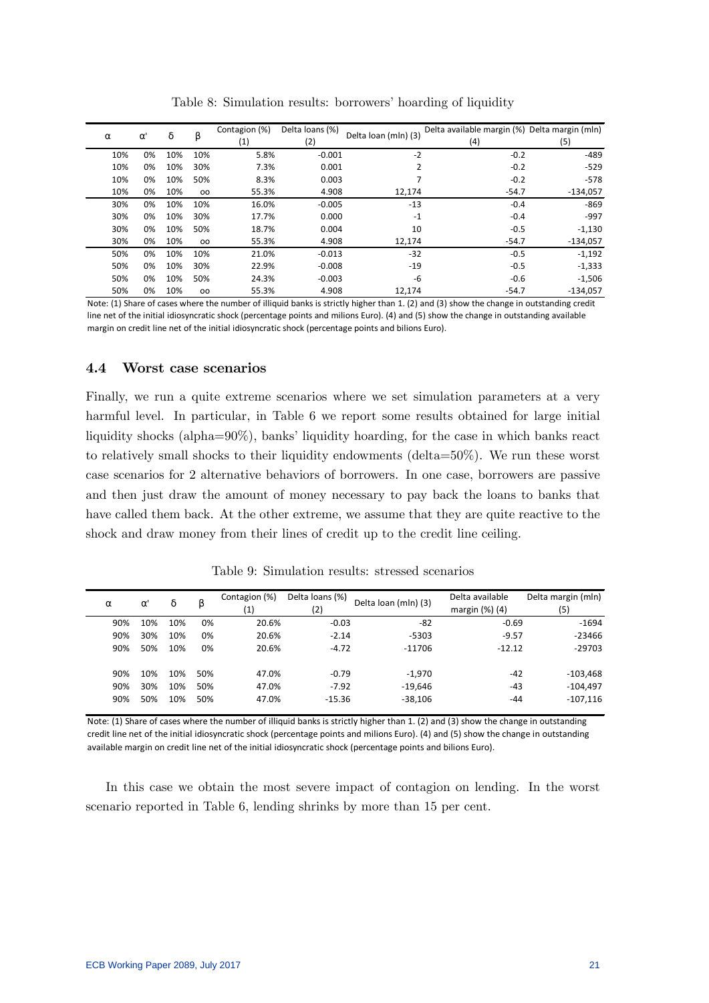|          |          | δ   |               | Contagion (%)     | Delta Ioans (%) | Delta Ioan (mln) (3) | Delta available margin (%) Delta margin (mln) |            |
|----------|----------|-----|---------------|-------------------|-----------------|----------------------|-----------------------------------------------|------------|
| $\alpha$ | $\alpha$ |     | β             | $\left( 1\right)$ | (2)             |                      | (4)                                           | (5)        |
| 10%      | 0%       | 10% | 10%           | 5.8%              | $-0.001$        | $-2$                 | $-0.2$                                        | $-489$     |
| 10%      | 0%       | 10% | 30%           | 7.3%              | 0.001           | 2                    | $-0.2$                                        | $-529$     |
| 10%      | 0%       | 10% | 50%           | 8.3%              | 0.003           |                      | $-0.2$                                        | $-578$     |
| 10%      | 0%       | 10% | 00            | 55.3%             | 4.908           | 12,174               | $-54.7$                                       | $-134,057$ |
| 30%      | 0%       | 10% | 10%           | 16.0%             | $-0.005$        | $-13$                | $-0.4$                                        | $-869$     |
| 30%      | 0%       | 10% | 30%           | 17.7%             | 0.000           | $-1$                 | $-0.4$                                        | $-997$     |
| 30%      | 0%       | 10% | 50%           | 18.7%             | 0.004           | 10                   | $-0.5$                                        | $-1,130$   |
| 30%      | 0%       | 10% | 00            | 55.3%             | 4.908           | 12,174               | $-54.7$                                       | $-134,057$ |
| 50%      | 0%       | 10% | 10%           | 21.0%             | $-0.013$        | $-32$                | $-0.5$                                        | $-1,192$   |
| 50%      | 0%       | 10% | 30%           | 22.9%             | $-0.008$        | $-19$                | $-0.5$                                        | $-1,333$   |
| 50%      | 0%       | 10% | 50%           | 24.3%             | $-0.003$        | -6                   | $-0.6$                                        | $-1,506$   |
| 50%      | 0%       | 10% | <sub>00</sub> | 55.3%             | 4.908           | 12,174               | $-54.7$                                       | $-134.057$ |

Table 8: Simulation results: borrowers' hoarding of liquidity

Note: (1) Share of cases where the number of illiquid banks is strictly higher than 1. (2) and (3) show the change in outstanding credit line net of the initial idiosyncratic shock (percentage points and milions Euro). (4) and (5) show the change in outstanding available margin on credit line net of the initial idiosyncratic shock (percentage points and bilions Euro).

#### 4.4 Worst case scenarios

Finally, we run a quite extreme scenarios where we set simulation parameters at a very harmful level. In particular, in Table 6 we report some results obtained for large initial liquidity shocks (alpha= $90\%$ ), banks' liquidity hoarding, for the case in which banks react to relatively small shocks to their liquidity endowments (delta=50%). We run these worst case scenarios for 2 alternative behaviors of borrowers. In one case, borrowers are passive and then just draw the amount of money necessary to pay back the loans to banks that have called them back. At the other extreme, we assume that they are quite reactive to the shock and draw money from their lines of credit up to the credit line ceiling.

|          |     |          | δ   | β   | Contagion (%)     | Delta Ioans (%) | Delta loan (mln) (3) | Delta available   | Delta margin (mln) |
|----------|-----|----------|-----|-----|-------------------|-----------------|----------------------|-------------------|--------------------|
| $\alpha$ |     | $\alpha$ |     |     | $\left( 1\right)$ | (2)             |                      | margin $(\%)$ (4) | (5)                |
|          | 90% | 10%      | 10% | 0%  | 20.6%             | $-0.03$         | -82                  | $-0.69$           | $-1694$            |
|          | 90% | 30%      | 10% | 0%  | 20.6%             | $-2.14$         | $-5303$              | $-9.57$           | $-23466$           |
|          | 90% | 50%      | 10% | 0%  | 20.6%             | $-4.72$         | $-11706$             | $-12.12$          | $-29703$           |
|          | 90% | 10%      | 10% | 50% | 47.0%             | $-0.79$         | $-1.970$             | $-42$             | $-103,468$         |
|          | 90% | 30%      | 10% | 50% | 47.0%             | $-7.92$         | $-19,646$            | -43               | $-104.497$         |
|          | 90% | 50%      | 10% | 50% | 47.0%             | $-15.36$        | $-38,106$            | -44               | $-107,116$         |

Table 9: Simulation results: stressed scenarios

Note: (1) Share of cases where the number of illiquid banks is strictly higher than 1. (2) and (3) show the change in outstanding credit line net of the initial idiosyncratic shock (percentage points and milions Euro). (4) and (5) show the change in outstanding available margin on credit line net of the initial idiosyncratic shock (percentage points and bilions Euro).

In this case we obtain the most severe impact of contagion on lending. In the worst scenario reported in Table 6, lending shrinks by more than 15 per cent.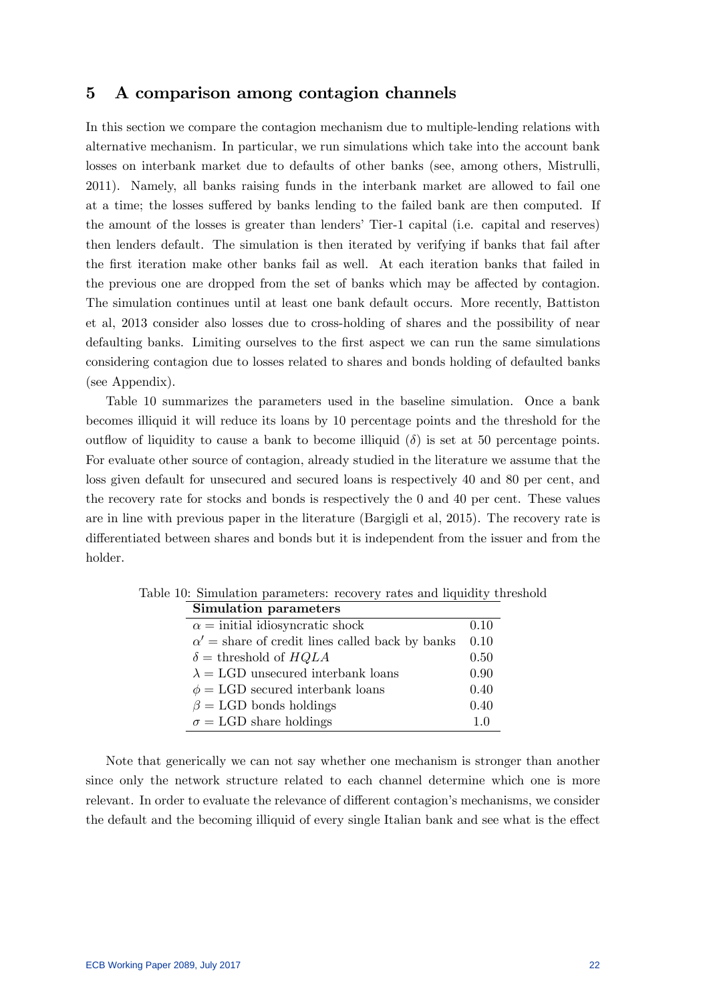## 5 A comparison among contagion channels

In this section we compare the contagion mechanism due to multiple-lending relations with alternative mechanism. In particular, we run simulations which take into the account bank losses on interbank market due to defaults of other banks (see, among others, Mistrulli, 2011). Namely, all banks raising funds in the interbank market are allowed to fail one at a time; the losses suffered by banks lending to the failed bank are then computed. If the amount of the losses is greater than lenders' Tier-1 capital (i.e. capital and reserves) then lenders default. The simulation is then iterated by verifying if banks that fail after the first iteration make other banks fail as well. At each iteration banks that failed in the previous one are dropped from the set of banks which may be affected by contagion. The simulation continues until at least one bank default occurs. More recently, Battiston et al, 2013 consider also losses due to cross-holding of shares and the possibility of near defaulting banks. Limiting ourselves to the first aspect we can run the same simulations considering contagion due to losses related to shares and bonds holding of defaulted banks (see Appendix).

Table 10 summarizes the parameters used in the baseline simulation. Once a bank becomes illiquid it will reduce its loans by 10 percentage points and the threshold for the outflow of liquidity to cause a bank to become illiquid  $(\delta)$  is set at 50 percentage points. For evaluate other source of contagion, already studied in the literature we assume that the loss given default for unsecured and secured loans is respectively 40 and 80 per cent, and the recovery rate for stocks and bonds is respectively the 0 and 40 per cent. These values are in line with previous paper in the literature (Bargigli et al, 2015). The recovery rate is differentiated between shares and bonds but it is independent from the issuer and from the holder.

| Simulation parameters                                  |      |
|--------------------------------------------------------|------|
| $\alpha$ = initial idiosyncratic shock                 | 0.10 |
| $\alpha'$ = share of credit lines called back by banks | 0.10 |
| $\delta =$ threshold of $HQLA$                         | 0.50 |
| $\lambda = LGD$ unsecured interbank loans              | 0.90 |
| $\phi = LGD$ secured interbank loans                   | 0.40 |
| $\beta = LGD$ bonds holdings                           | 0.40 |
| $\sigma = LGD$ share holdings                          | 10   |

Table 10: Simulation parameters: recovery rates and liquidity threshold

Note that generically we can not say whether one mechanism is stronger than another since only the network structure related to each channel determine which one is more relevant. In order to evaluate the relevance of different contagion's mechanisms, we consider the default and the becoming illiquid of every single Italian bank and see what is the effect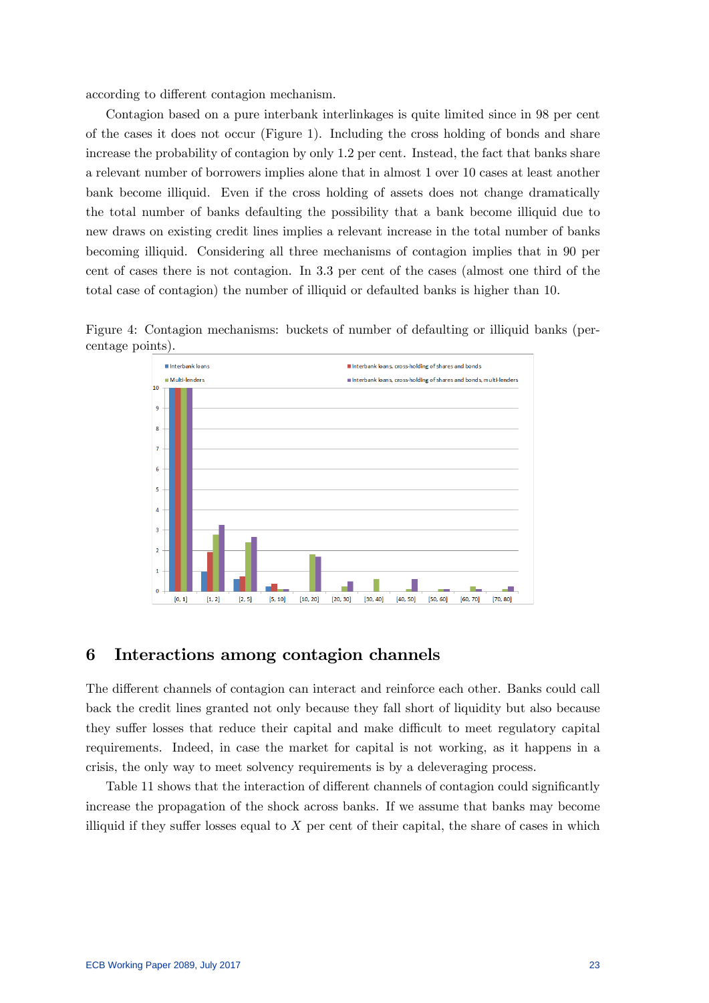according to different contagion mechanism.

Contagion based on a pure interbank interlinkages is quite limited since in 98 per cent of the cases it does not occur (Figure 1). Including the cross holding of bonds and share increase the probability of contagion by only 1.2 per cent. Instead, the fact that banks share a relevant number of borrowers implies alone that in almost 1 over 10 cases at least another bank become illiquid. Even if the cross holding of assets does not change dramatically the total number of banks defaulting the possibility that a bank become illiquid due to new draws on existing credit lines implies a relevant increase in the total number of banks becoming illiquid. Considering all three mechanisms of contagion implies that in 90 per cent of cases there is not contagion. In 3.3 per cent of the cases (almost one third of the total case of contagion) the number of illiquid or defaulted banks is higher than 10.





### 6 Interactions among contagion channels

The different channels of contagion can interact and reinforce each other. Banks could call back the credit lines granted not only because they fall short of liquidity but also because they suffer losses that reduce their capital and make difficult to meet regulatory capital requirements. Indeed, in case the market for capital is not working, as it happens in a crisis, the only way to meet solvency requirements is by a deleveraging process.

Table 11 shows that the interaction of different channels of contagion could significantly increase the propagation of the shock across banks. If we assume that banks may become illiquid if they suffer losses equal to  $X$  per cent of their capital, the share of cases in which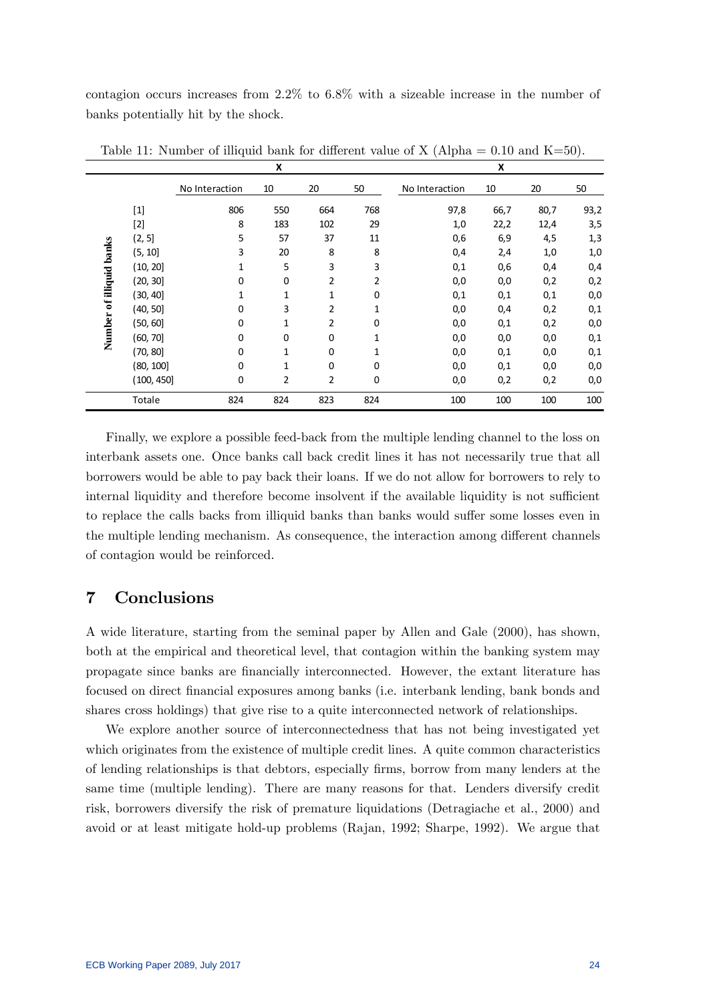contagion occurs increases from 2:2% to 6:8% with a sizeable increase in the number of banks potentially hit by the shock.

|                          |            |                | X           |          |                |                | X    |      |      |
|--------------------------|------------|----------------|-------------|----------|----------------|----------------|------|------|------|
|                          |            | No Interaction | 10          | 20       | 50             | No Interaction | 10   | 20   | 50   |
|                          | $[1]$      | 806            | 550         | 664      | 768            | 97,8           | 66,7 | 80,7 | 93,2 |
|                          | $[2]$      | 8              | 183         | 102      | 29             | 1,0            | 22,2 | 12,4 | 3,5  |
|                          | (2, 5]     | 5              | 57          | 37       | 11             | 0,6            | 6,9  | 4,5  | 1,3  |
|                          | (5, 10)    | 3              | 20          | 8        | 8              | 0,4            | 2,4  | 1,0  | 1,0  |
| Number of illiquid banks | (10, 20)   | 1              | 5           | 3        | 3              | 0,1            | 0,6  | 0,4  | 0,4  |
|                          | (20, 30)   | 0              | $\mathbf 0$ | 2        | $\overline{2}$ | 0,0            | 0,0  | 0,2  | 0,2  |
|                          | (30, 40]   | 1              | 1           | 1        | $\mathbf 0$    | 0,1            | 0,1  | 0,1  | 0,0  |
|                          | (40, 50]   | 0              | 3           | 2        | 1              | 0,0            | 0,4  | 0,2  | 0,1  |
|                          | (50, 60]   | $\mathbf 0$    | 1           | 2        | 0              | 0,0            | 0,1  | 0,2  | 0,0  |
|                          | (60, 70]   | $\mathbf 0$    | $\Omega$    | $\Omega$ | 1              | 0,0            | 0,0  | 0,0  | 0,1  |
|                          | (70, 80]   | $\mathbf 0$    | 1           | $\Omega$ | 1              | 0,0            | 0,1  | 0,0  | 0,1  |
|                          | (80, 100]  | $\mathbf 0$    | 1           | $\Omega$ | 0              | 0,0            | 0,1  | 0,0  | 0,0  |
|                          | (100, 450] | $\mathbf 0$    | 2           | 2        | 0              | 0,0            | 0,2  | 0,2  | 0,0  |
|                          | Totale     | 824            | 824         | 823      | 824            | 100            | 100  | 100  | 100  |

Table 11: Number of illiquid bank for different value of X (Alpha =  $0.10$  and K=50).

Finally, we explore a possible feed-back from the multiple lending channel to the loss on interbank assets one. Once banks call back credit lines it has not necessarily true that all borrowers would be able to pay back their loans. If we do not allow for borrowers to rely to internal liquidity and therefore become insolvent if the available liquidity is not sufficient to replace the calls backs from illiquid banks than banks would suffer some losses even in the multiple lending mechanism. As consequence, the interaction among different channels of contagion would be reinforced.

# 7 Conclusions

A wide literature, starting from the seminal paper by Allen and Gale (2000), has shown, both at the empirical and theoretical level, that contagion within the banking system may propagate since banks are Önancially interconnected. However, the extant literature has focused on direct financial exposures among banks (i.e. interbank lending, bank bonds and shares cross holdings) that give rise to a quite interconnected network of relationships.

We explore another source of interconnectedness that has not being investigated yet which originates from the existence of multiple credit lines. A quite common characteristics of lending relationships is that debtors, especially Örms, borrow from many lenders at the same time (multiple lending). There are many reasons for that. Lenders diversify credit risk, borrowers diversify the risk of premature liquidations (Detragiache et al., 2000) and avoid or at least mitigate hold-up problems (Rajan, 1992; Sharpe, 1992). We argue that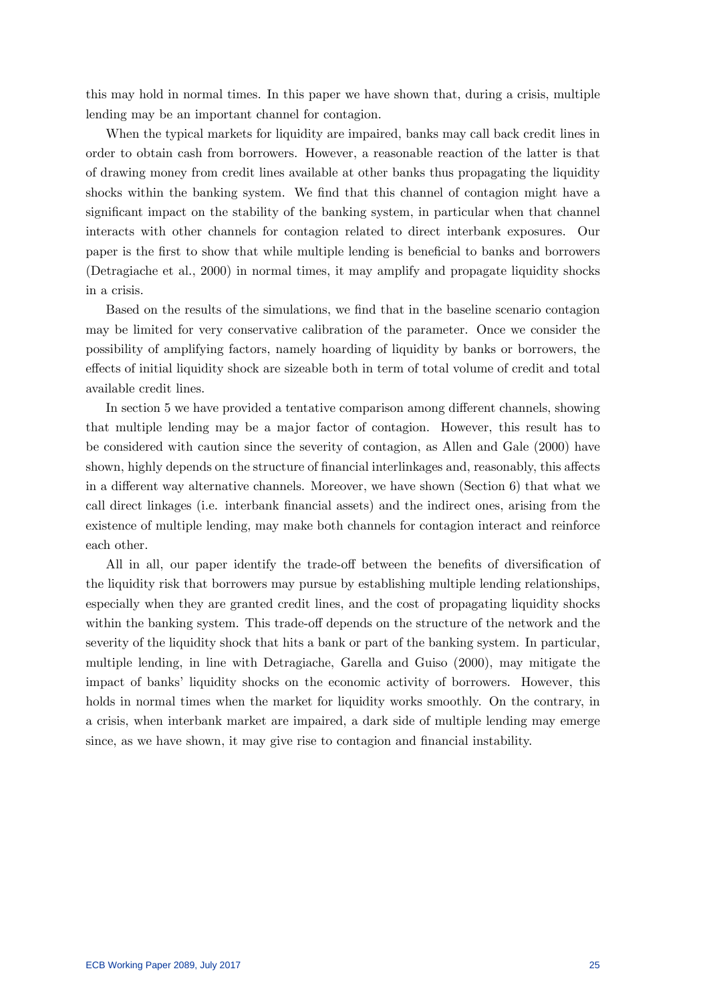this may hold in normal times. In this paper we have shown that, during a crisis, multiple lending may be an important channel for contagion.

When the typical markets for liquidity are impaired, banks may call back credit lines in order to obtain cash from borrowers. However, a reasonable reaction of the latter is that of drawing money from credit lines available at other banks thus propagating the liquidity shocks within the banking system. We find that this channel of contagion might have a significant impact on the stability of the banking system, in particular when that channel interacts with other channels for contagion related to direct interbank exposures. Our paper is the first to show that while multiple lending is beneficial to banks and borrowers (Detragiache et al., 2000) in normal times, it may amplify and propagate liquidity shocks in a crisis.

Based on the results of the simulations, we find that in the baseline scenario contagion may be limited for very conservative calibration of the parameter. Once we consider the possibility of amplifying factors, namely hoarding of liquidity by banks or borrowers, the effects of initial liquidity shock are sizeable both in term of total volume of credit and total available credit lines.

In section 5 we have provided a tentative comparison among different channels, showing that multiple lending may be a major factor of contagion. However, this result has to be considered with caution since the severity of contagion, as Allen and Gale (2000) have shown, highly depends on the structure of financial interlinkages and, reasonably, this affects in a different way alternative channels. Moreover, we have shown (Section  $6$ ) that what we call direct linkages (i.e. interbank financial assets) and the indirect ones, arising from the existence of multiple lending, may make both channels for contagion interact and reinforce each other.

All in all, our paper identify the trade-off between the benefits of diversification of the liquidity risk that borrowers may pursue by establishing multiple lending relationships, especially when they are granted credit lines, and the cost of propagating liquidity shocks within the banking system. This trade-off depends on the structure of the network and the severity of the liquidity shock that hits a bank or part of the banking system. In particular, multiple lending, in line with Detragiache, Garella and Guiso (2000), may mitigate the impact of banks' liquidity shocks on the economic activity of borrowers. However, this holds in normal times when the market for liquidity works smoothly. On the contrary, in a crisis, when interbank market are impaired, a dark side of multiple lending may emerge since, as we have shown, it may give rise to contagion and financial instability.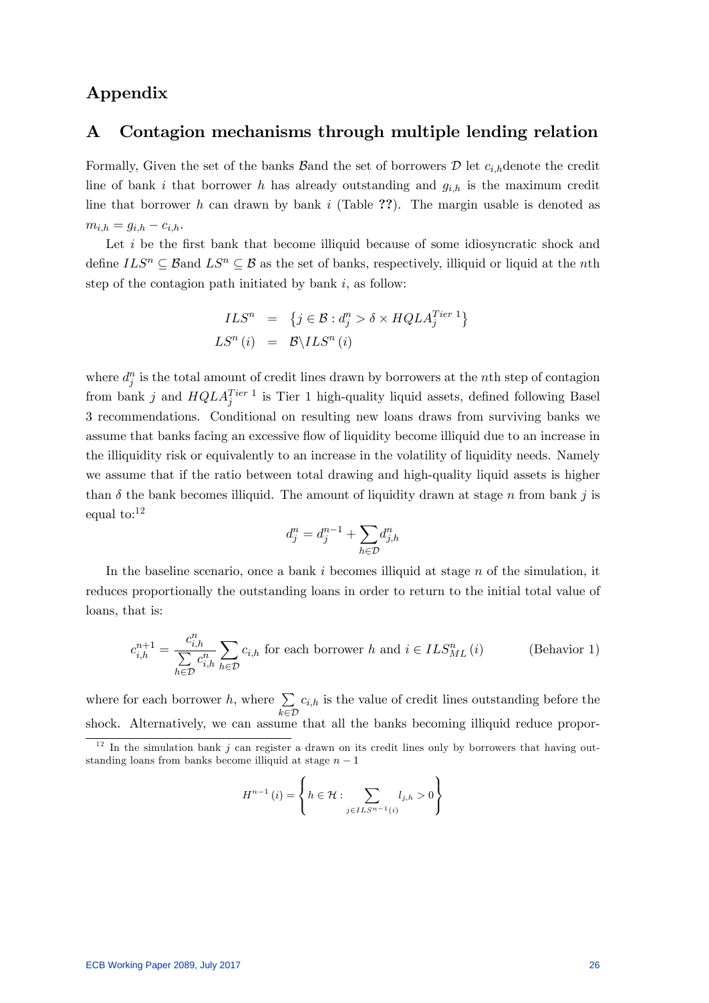# Appendix

## A Contagion mechanisms through multiple lending relation

Formally, Given the set of the banks Band the set of borrowers  $\mathcal D$  let  $c_{i,h}$ denote the credit line of bank i that borrower h has already outstanding and  $g_{i,h}$  is the maximum credit line that borrower h can drawn by bank i (Table ??). The margin usable is denoted as  $m_{i,h} = g_{i,h} - c_{i,h}.$ 

Let  $i$  be the first bank that become illiquid because of some idiosyncratic shock and define  $ILS^n \subseteq B$  and  $LS^n \subseteq B$  as the set of banks, respectively, illiquid or liquid at the nth step of the contagion path initiated by bank  $i$ , as follow:

$$
ILSn = {j \in B : djn > \delta \times HQLAjTier 1}
$$
  

$$
LSn(i) = B\backslash ILSn(i)
$$

where  $d_j^n$  is the total amount of credit lines drawn by borrowers at the *n*th step of contagion from bank j and  $HQLA_j^{Tier 1}$  is Tier 1 high-quality liquid assets, defined following Basel 3 recommendations. Conditional on resulting new loans draws from surviving banks we assume that banks facing an excessive flow of liquidity become illiquid due to an increase in the illiquidity risk or equivalently to an increase in the volatility of liquidity needs. Namely we assume that if the ratio between total drawing and high-quality liquid assets is higher than  $\delta$  the bank becomes illiquid. The amount of liquidity drawn at stage n from bank j is equal to:<sup>12</sup>

$$
d_j^n = d_j^{n-1} + \sum_{h \in \mathcal{D}} d_{j,h}^n
$$

In the baseline scenario, once a bank  $i$  becomes illiquid at stage  $n$  of the simulation, it reduces proportionally the outstanding loans in order to return to the initial total value of loans, that is:

$$
c_{i,h}^{n+1} = \frac{c_{i,h}^n}{\sum\limits_{h \in \mathcal{D}} c_{i,h}^n} \sum_{h \in \mathcal{D}} c_{i,h} \text{ for each borrower } h \text{ and } i \in ILS_{ML}^n(i) \tag{Behavior 1}
$$

where for each borrower h, where  $\sum$  $karein \mathcal{D}$  $c_{i,h}$  is the value of credit lines outstanding before the shock. Alternatively, we can assume that all the banks becoming illiquid reduce propor-

$$
H^{n-1}(i) = \left\{ h \in \mathcal{H} : \sum_{j \in ILS^{n-1}(i)} l_{j,h} > 0 \right\}
$$

 $1<sup>12</sup>$  In the simulation bank j can register a drawn on its credit lines only by borrowers that having outstanding loans from banks become illiquid at stage  $n - 1$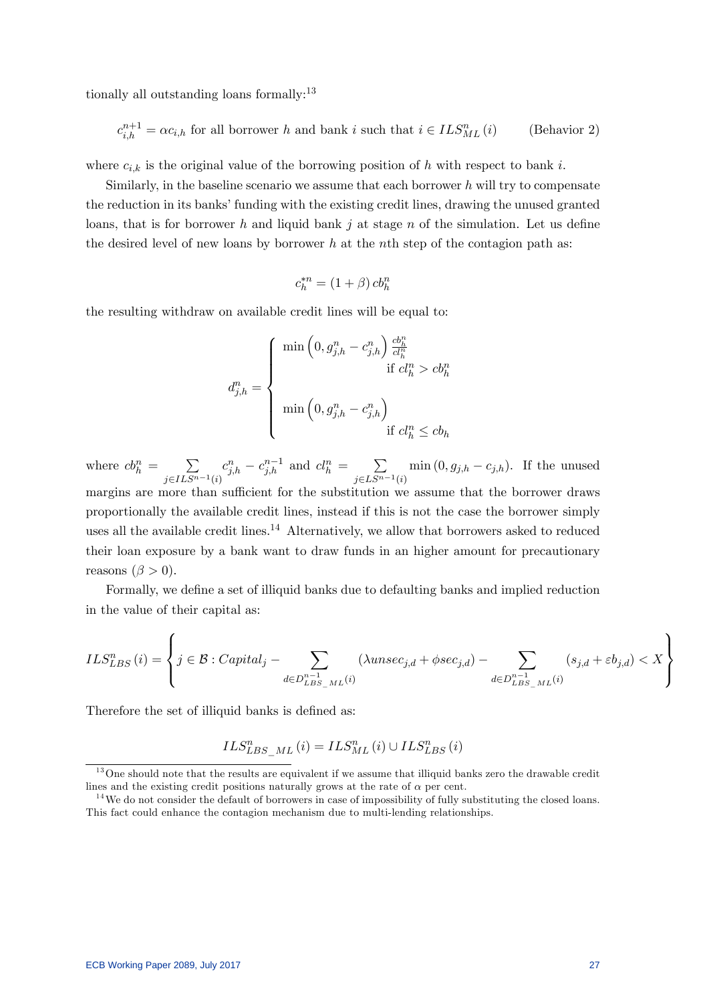tionally all outstanding loans formally:<sup>13</sup>

$$
c_{i,h}^{n+1} = \alpha c_{i,h} \text{ for all borrower } h \text{ and bank } i \text{ such that } i \in ILS_{ML}^n(i) \qquad \text{(Behavior 2)}
$$

where  $c_{i,k}$  is the original value of the borrowing position of h with respect to bank i.

Similarly, in the baseline scenario we assume that each borrower  $h$  will try to compensate the reduction in its banks' funding with the existing credit lines, drawing the unused granted loans, that is for borrower h and liquid bank j at stage n of the simulation. Let us define the desired level of new loans by borrower h at the nth step of the contagion path as:

$$
c_h^{*n} = (1+\beta) \, cb_h^n
$$

the resulting withdraw on available credit lines will be equal to:

$$
d_{j,h}^n = \begin{cases} \min\left(0, g_{j,h}^n - c_{j,h}^n\right) \frac{cb_h^n}{cl_h^n} \\ \text{if } cl_h^n > cb_h^n \\ \min\left(0, g_{j,h}^n - c_{j,h}^n\right) \\ \text{if } cl_h^n \le cb_h \end{cases}
$$

where  $cb_h^n = \sum$  $j \in ILS^{n-1}(i)$  $c_{j,h}^n - c_{j,h}^{n-1}$  and  $cl_h^n = \sum_{n=1}^\infty$  $j \in LS^{n-1}(i)$  $\min(0, g_{j,h} - c_{j,h})$ . If the unused margins are more than sufficient for the substitution we assume that the borrower draws proportionally the available credit lines, instead if this is not the case the borrower simply uses all the available credit lines.<sup>14</sup> Alternatively, we allow that borrowers asked to reduced their loan exposure by a bank want to draw funds in an higher amount for precautionary reasons  $(\beta > 0)$ .

Formally, we define a set of illiquid banks due to defaulting banks and implied reduction in the value of their capital as:

$$
ILS_{LBS}^{n}(i) = \left\{ j \in \mathcal{B} : Capital_j - \sum_{d \in D_{LBS\_ML}^{n-1}(i)} (\lambda unsec_{j,d} + \phi sec_{j,d}) - \sum_{d \in D_{LBS\_ML}^{n-1}(i)} (s_{j,d} + \varepsilon b_{j,d}) < X \right\}
$$

Therefore the set of illiquid banks is defined as:

$$
ILS_{LBS\_ML}^{n}\left(i\right)=ILS_{ML}^{n}\left(i\right)\cup ILS_{LBS}^{n}\left(i\right)
$$

<sup>&</sup>lt;sup>13</sup>One should note that the results are equivalent if we assume that illiquid banks zero the drawable credit lines and the existing credit positions naturally grows at the rate of  $\alpha$  per cent.

 $14$ We do not consider the default of borrowers in case of impossibility of fully substituting the closed loans. This fact could enhance the contagion mechanism due to multi-lending relationships.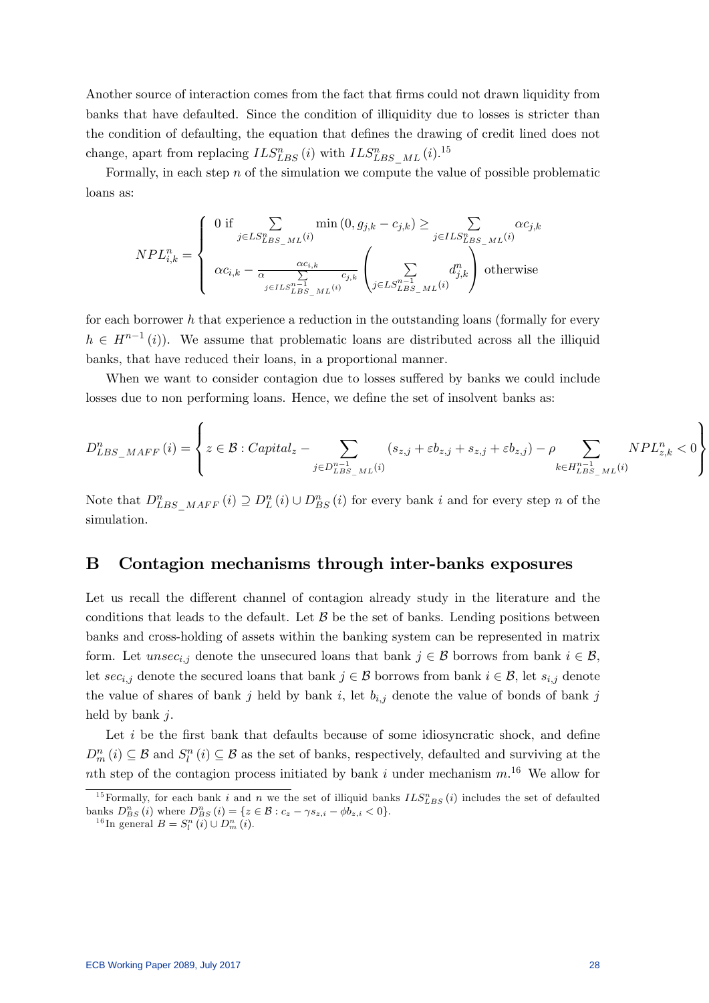Another source of interaction comes from the fact that firms could not drawn liquidity from banks that have defaulted. Since the condition of illiquidity due to losses is stricter than the condition of defaulting, the equation that defines the drawing of credit lined does not change, apart from replacing  $ILS_{LBS}^n(i)$  with  $ILS_{LBS\_ML}^n(i).$ <sup>15</sup>

Formally, in each step  $n$  of the simulation we compute the value of possible problematic loans as:

$$
NPL_{i,k}^{n} = \begin{cases} 0 \text{ if } \sum_{j \in LS_{LBS\_ML}^{n}(i)} \min(0, g_{j,k} - c_{j,k}) \ge \sum_{j \in ILS_{LBS\_ML}^{n}(i)} \alpha c_{j,k} \\ \alpha c_{i,k} - \frac{\alpha c_{i,k}}{\alpha} \sum_{j \in ILS_{LBS\_ML}^{n-1}(i)} c_{j,k} \left( \sum_{j \in LS_{LBS\_ML}^{n-1}(i)} d_{j,k}^{n} \right) \text{ otherwise} \end{cases}
$$

for each borrower h that experience a reduction in the outstanding loans (formally for every  $h \in H^{n-1}(i)$ . We assume that problematic loans are distributed across all the illiquid banks, that have reduced their loans, in a proportional manner.

When we want to consider contagion due to losses suffered by banks we could include losses due to non performing loans. Hence, we define the set of insolvent banks as:

$$
D_{LBS\_MAFF}^{n}(i) = \left\{ z \in \mathcal{B} : Capital_z - \sum_{j \in D_{LBS\_ML}^{n-1}(i)} (s_{z,j} + \varepsilon b_{z,j} + s_{z,j} + \varepsilon b_{z,j}) - \rho \sum_{k \in H_{LBS\_ML}^{n-1}(i)} NPL_{z,k}^{n} < 0 \right\}
$$

Note that  $D_{LBS\_MAFF}^n(i) \supseteq D_L^n(i) \cup D_{BS}^n(i)$  for every bank i and for every step n of the simulation.

### B Contagion mechanisms through inter-banks exposures

Let us recall the different channel of contagion already study in the literature and the conditions that leads to the default. Let  $\beta$  be the set of banks. Lending positions between banks and cross-holding of assets within the banking system can be represented in matrix form. Let unsec<sub>i,j</sub> denote the unsecured loans that bank  $j \in \mathcal{B}$  borrows from bank  $i \in \mathcal{B}$ , let  $\sec_{i,j}$  denote the secured loans that bank  $j \in \mathcal{B}$  borrows from bank  $i \in \mathcal{B}$ , let  $s_{i,j}$  denote the value of shares of bank j held by bank i, let  $b_{i,j}$  denote the value of bonds of bank j held by bank *i*.

Let  $i$  be the first bank that defaults because of some idiosyncratic shock, and define  $D_m^n(i) \subseteq \mathcal{B}$  and  $S_l^n(i) \subseteq \mathcal{B}$  as the set of banks, respectively, defaulted and surviving at the nth step of the contagion process initiated by bank i under mechanism  $m^{16}$ . We allow for

<sup>&</sup>lt;sup>15</sup> Formally, for each bank i and n we the set of illiquid banks  $ILS_{LBS}^n(i)$  includes the set of defaulted banks  $D_{BS}^n(i)$  where  $D_{BS}^n(i) = \{z \in \mathcal{B} : c_z - \gamma s_{z,i} - \phi b_{z,i} < 0\}.$ 

<sup>&</sup>lt;sup>16</sup>In general  $B = S_l^n(i) \cup D_m^n(i)$ .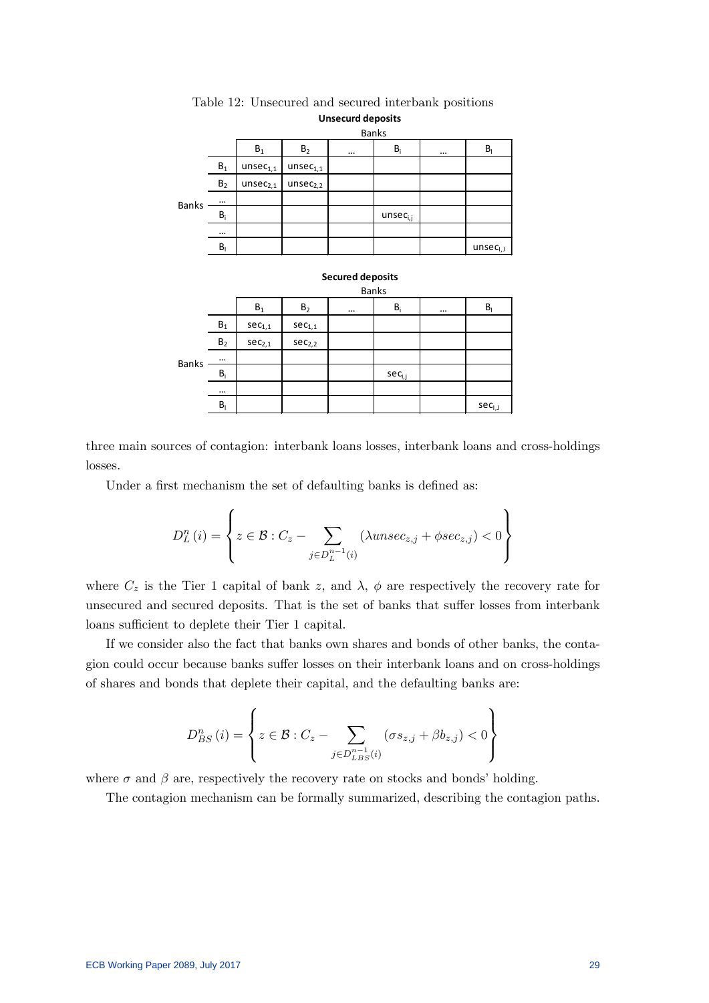|              |                         |                        |                      | <b>Banks</b>            |                         |                                          |
|--------------|-------------------------|------------------------|----------------------|-------------------------|-------------------------|------------------------------------------|
|              |                         | $\mathsf{B}_1$         | B <sub>2</sub>       |                         | $\mathsf{B}_\mathsf{i}$ | <br>$\mathsf{B}_{\mathsf{I}}$            |
|              | $B_1$                   | unsec <sub>1,1</sub>   | unsec <sub>1,1</sub> |                         |                         |                                          |
|              | B <sub>2</sub>          | $\mathsf{unsec}_{2,1}$ | unsec <sub>2,2</sub> |                         |                         |                                          |
| <b>Banks</b> |                         |                        |                      |                         |                         |                                          |
|              | $B_i$                   |                        |                      |                         | $unsec_{i,j}$           |                                          |
|              |                         |                        |                      |                         |                         |                                          |
|              | $B_{1}$                 |                        |                      |                         |                         | $\mathsf{unsec}_{\mathsf{I},\mathsf{J}}$ |
|              |                         |                        |                      | <b>Secured deposits</b> | <b>Banks</b>            |                                          |
|              |                         | $\mathsf{B}_1$         | B <sub>2</sub>       | $\cdots$                | $B_i$                   | <br>$B_{I}$                              |
|              | $\mathsf{B}_1$          | $sec_{1,1}$            | $\sec_{1,1}$         |                         |                         |                                          |
|              | B <sub>2</sub>          | $sec_{2,1}$            | $sec_{2,2}$          |                         |                         |                                          |
| <b>Banks</b> |                         |                        |                      |                         |                         |                                          |
|              | $B_i$                   |                        |                      |                         | $sec_{i,j}$             |                                          |
|              | $\cdots$                |                        |                      |                         |                         |                                          |
|              | $\mathsf{B}_\mathsf{I}$ |                        |                      |                         |                         | $sec_{i,j}$                              |

Table 12: Unsecured and secured interbank positions **Unsecurd deposits**

three main sources of contagion: interbank loans losses, interbank loans and cross-holdings losses.

Under a first mechanism the set of defaulting banks is defined as:

$$
D_{L}^{n}(i) = \left\{ z \in \mathcal{B} : C_{z} - \sum_{j \in D_{L}^{n-1}(i)} (\lambda un sec_{z,j} + \phi sec_{z,j}) < 0 \right\}
$$

where  $C_z$  is the Tier 1 capital of bank z, and  $\lambda$ ,  $\phi$  are respectively the recovery rate for unsecured and secured deposits. That is the set of banks that suffer losses from interbank loans sufficient to deplete their Tier 1 capital.

If we consider also the fact that banks own shares and bonds of other banks, the contagion could occur because banks suffer losses on their interbank loans and on cross-holdings of shares and bonds that deplete their capital, and the defaulting banks are:

$$
D_{BS}^{n}(i) = \left\{ z \in \mathcal{B} : C_z - \sum_{j \in D_{LBS}^{n-1}(i)} (\sigma s_{z,j} + \beta b_{z,j}) < 0 \right\}
$$

where  $\sigma$  and  $\beta$  are, respectively the recovery rate on stocks and bonds' holding.

The contagion mechanism can be formally summarized, describing the contagion paths.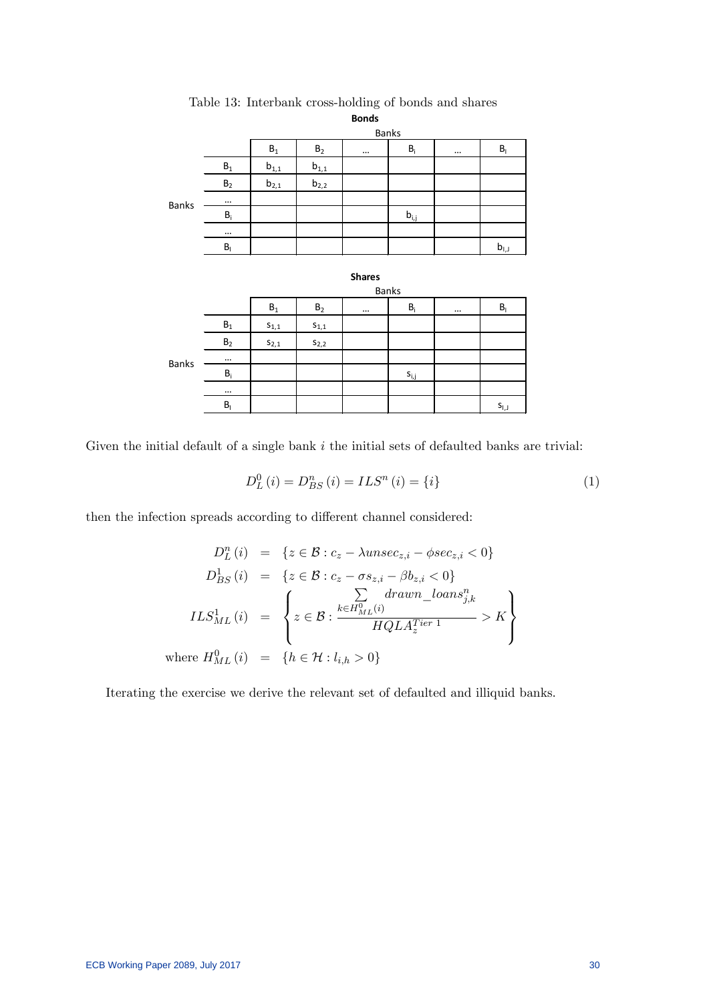|              | <b>Bonds</b>              |                |                    |          |                                      |          |                           |  |
|--------------|---------------------------|----------------|--------------------|----------|--------------------------------------|----------|---------------------------|--|
|              |                           | <b>Banks</b>   |                    |          |                                      |          |                           |  |
|              |                           | $\mathsf{B}_1$ | $\mathsf{B}_2$     | $\cdots$ | $\mathsf{B}_\mathsf{i}$              | $\cdots$ | $\mathsf{B}_{\mathsf{I}}$ |  |
| <b>Banks</b> | $\mathsf{B}_1$            | $b_{1,1}$      | $b_{1,1}$          |          |                                      |          |                           |  |
|              | B <sub>2</sub>            | $b_{2,1}$      | $b_{2,2}$          |          |                                      |          |                           |  |
|              | $\cdots$                  |                |                    |          |                                      |          |                           |  |
|              | $\mathsf{B}_\mathsf{i}$   |                |                    |          | $\mathsf{b}_{\mathsf{i},\mathsf{j}}$ |          |                           |  |
|              |                           |                |                    |          |                                      |          |                           |  |
|              | $\mathsf{B}_{\mathsf{I}}$ |                |                    |          |                                      |          | $b_{1,1}$                 |  |
|              |                           |                |                    |          |                                      |          |                           |  |
|              | <b>Shares</b>             |                |                    |          |                                      |          |                           |  |
|              |                           | <b>Banks</b>   |                    |          |                                      |          |                           |  |
|              |                           | $\mathsf{B}_1$ | $\mathsf{B}_2$     | $\cdots$ | $B_i$                                | $\cdots$ | $\mathsf{B}_\mathsf{I}$   |  |
| <b>Banks</b> | $\mathsf{B}_1$            | $S_{1,1}$      | $\mathsf{s}_{1,1}$ |          |                                      |          |                           |  |
|              | $\mathsf{B}_2$            | $S_{2,1}$      | $\mathsf{s}_{2,2}$ |          |                                      |          |                           |  |
|              |                           |                |                    |          |                                      |          |                           |  |
|              | $\mathsf{B}_\mathsf{i}$   |                |                    |          | $\mathsf{s}_{\mathsf{i},\mathsf{j}}$ |          |                           |  |
|              |                           |                |                    |          |                                      |          |                           |  |
|              | $\mathsf{B}_{\mathsf{I}}$ |                |                    |          |                                      |          | $S_{1,1}$                 |  |

Table 13: Interbank cross-holding of bonds and shares

Given the initial default of a single bank  $i$  the initial sets of defaulted banks are trivial:

$$
D_{L}^{0}(i) = D_{BS}^{n}(i) = ILS^{n}(i) = \{i\}
$$
\n(1)

then the infection spreads according to different channel considered:

$$
D_{L}^{n}(i) = \{z \in \mathcal{B} : c_{z} - \lambda unsec_{z,i} - \phi sec_{z,i} < 0\}
$$
  
\n
$$
D_{BS}^{1}(i) = \{z \in \mathcal{B} : c_{z} - \sigma s_{z,i} - \beta b_{z,i} < 0\}
$$
  
\n
$$
ILS_{ML}^{1}(i) = \begin{cases} \sum_{k \in H_{ML}^{0}(i)} d r a w n_{\text{max}} s_{j,k}^{n} \\ z \in \mathcal{B} : \frac{k \in H_{ML}^{0}(i)}{H Q L A_{z}^{r} i r} \end{cases} > K
$$
  
\nwhere  $H_{ML}^{0}(i) = \{h \in \mathcal{H} : l_{i,h} > 0\}$ 

Iterating the exercise we derive the relevant set of defaulted and illiquid banks.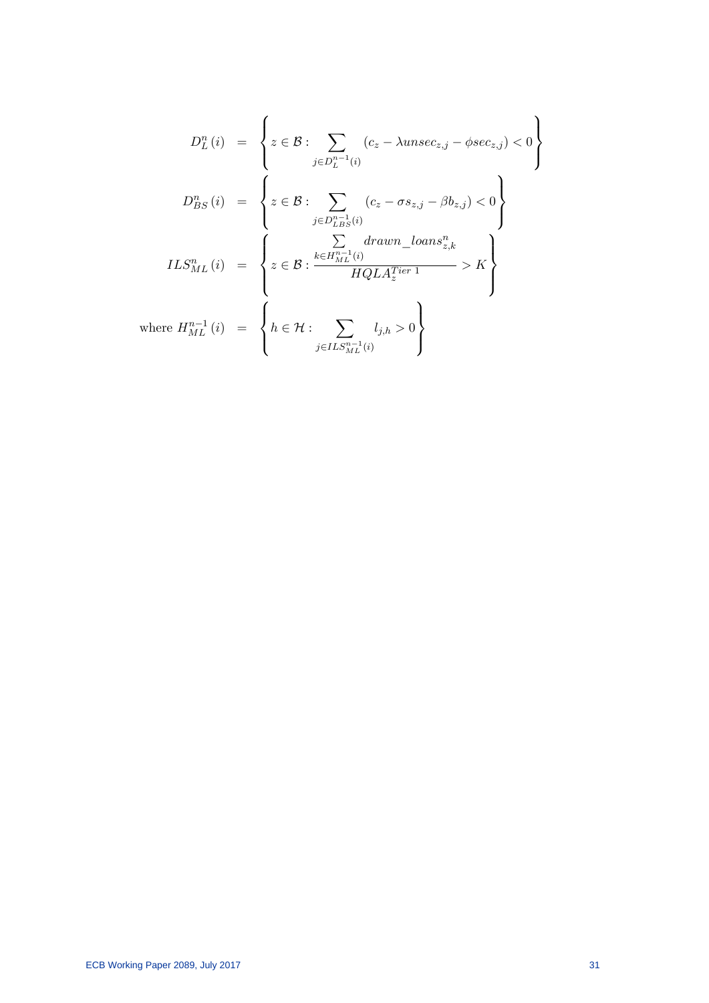$$
D_{L}^{n}(i) = \left\{ z \in \mathcal{B} : \sum_{j \in D_{L}^{n-1}(i)} (c_{z} - \lambda unsec_{z,j} - \phi sec_{z,j}) < 0 \right\}
$$

$$
D_{BS}^{n}(i) = \left\{ z \in \mathcal{B} : \sum_{j \in D_{LB}^{n-1}(i)} (c_{z} - \sigma s_{z,j} - \beta b_{z,j}) < 0 \right\}
$$

$$
ILS_{ML}^{n}(i) = \left\{ z \in \mathcal{B} : \frac{\sum_{k \in H_{ML}^{n-1}(i)} d r a w n_{\_loans_{z,k}^{n}}}{HQLA_{z}^{Tier 1}} > K \right\}
$$

$$
where H_{ML}^{n-1}(i) = \left\{ h \in \mathcal{H} : \sum_{j \in ILS_{ML}^{n-1}(i)} l_{j,h} > 0 \right\}
$$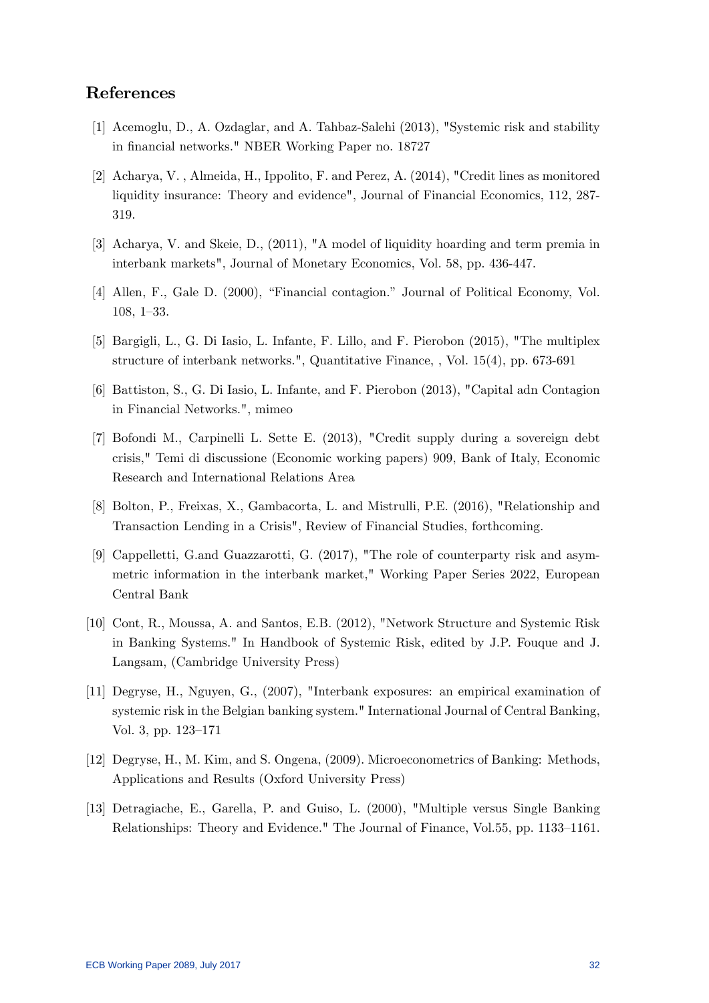## References

- [1] Acemoglu, D., A. Ozdaglar, and A. Tahbaz-Salehi (2013), "Systemic risk and stability in financial networks." NBER Working Paper no. 18727
- [2] Acharya, V. , Almeida, H., Ippolito, F. and Perez, A. (2014), "Credit lines as monitored liquidity insurance: Theory and evidence", Journal of Financial Economics, 112, 287- 319.
- [3] Acharya, V. and Skeie, D., (2011), "A model of liquidity hoarding and term premia in interbank markets", Journal of Monetary Economics, Vol. 58, pp. 436-447.
- [4] Allen, F., Gale D. (2000), "Financial contagion." Journal of Political Economy, Vol.  $108, 1-33.$
- [5] Bargigli, L., G. Di Iasio, L. Infante, F. Lillo, and F. Pierobon (2015), "The multiplex structure of interbank networks.", Quantitative Finance, , Vol. 15(4), pp. 673-691
- [6] Battiston, S., G. Di Iasio, L. Infante, and F. Pierobon (2013), "Capital adn Contagion in Financial Networks.", mimeo
- [7] Bofondi M., Carpinelli L. Sette E. (2013), "Credit supply during a sovereign debt crisis," Temi di discussione (Economic working papers) 909, Bank of Italy, Economic Research and International Relations Area
- [8] Bolton, P., Freixas, X., Gambacorta, L. and Mistrulli, P.E. (2016), "Relationship and Transaction Lending in a Crisis", Review of Financial Studies, forthcoming.
- [9] Cappelletti, G.and Guazzarotti, G. (2017), "The role of counterparty risk and asymmetric information in the interbank market," Working Paper Series 2022, European Central Bank
- [10] Cont, R., Moussa, A. and Santos, E.B. (2012), "Network Structure and Systemic Risk in Banking Systems." In Handbook of Systemic Risk, edited by J.P. Fouque and J. Langsam, (Cambridge University Press)
- [11] Degryse, H., Nguyen, G., (2007), "Interbank exposures: an empirical examination of systemic risk in the Belgian banking system." International Journal of Central Banking, Vol. 3, pp.  $123-171$
- [12] Degryse, H., M. Kim, and S. Ongena, (2009). Microeconometrics of Banking: Methods, Applications and Results (Oxford University Press)
- [13] Detragiache, E., Garella, P. and Guiso, L. (2000), "Multiple versus Single Banking Relationships: Theory and Evidence." The Journal of Finance, Vol.55, pp. 1133-1161.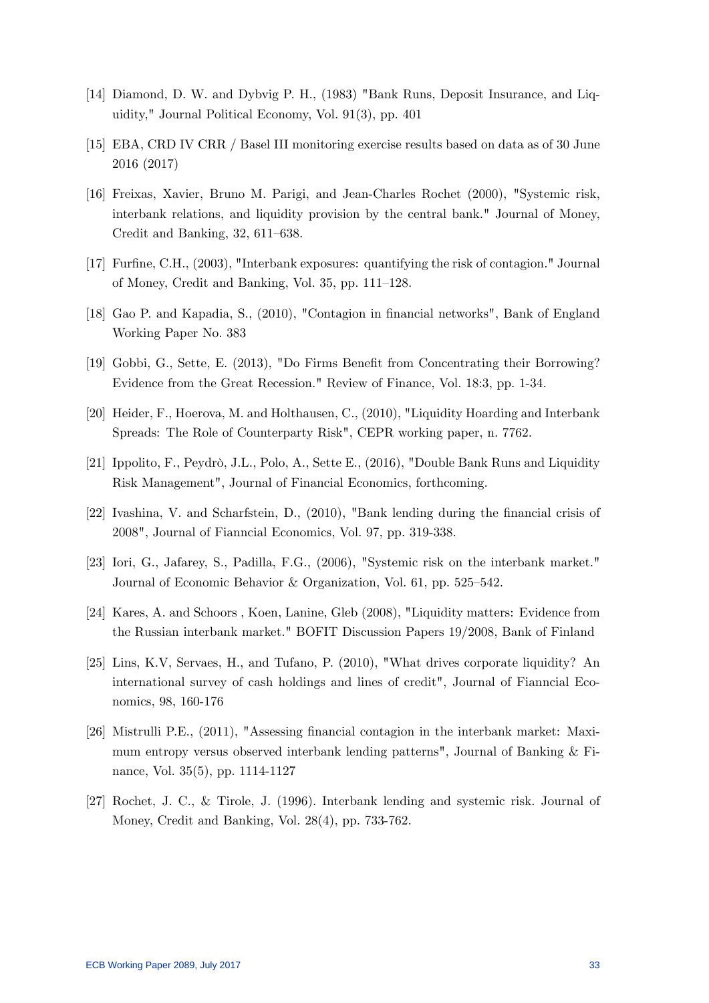- [14] Diamond, D. W. and Dybvig P. H., (1983) "Bank Runs, Deposit Insurance, and Liquidity," Journal Political Economy, Vol. 91(3), pp. 401
- [15] EBA, CRD IV CRR / Basel III monitoring exercise results based on data as of 30 June 2016 (2017)
- [16] Freixas, Xavier, Bruno M. Parigi, and Jean-Charles Rochet (2000), "Systemic risk, interbank relations, and liquidity provision by the central bank." Journal of Money, Credit and Banking,  $32, 611-638$ .
- [17] Furfine, C.H., (2003), "Interbank exposures: quantifying the risk of contagion." Journal of Money, Credit and Banking, Vol.  $35$ , pp.  $111-128$ .
- [18] Gao P. and Kapadia, S., (2010), "Contagion in Önancial networks", Bank of England Working Paper No. 383
- [19] Gobbi, G., Sette, E. (2013), "Do Firms Benefit from Concentrating their Borrowing? Evidence from the Great Recession." Review of Finance, Vol. 18:3, pp. 1-34.
- [20] Heider, F., Hoerova, M. and Holthausen, C., (2010), "Liquidity Hoarding and Interbank Spreads: The Role of Counterparty Risk", CEPR working paper, n. 7762.
- [21] Ippolito, F., Peydrò, J.L., Polo, A., Sette E.,  $(2016)$ , "Double Bank Runs and Liquidity Risk Management", Journal of Financial Economics, forthcoming.
- [22] Ivashina, V. and Scharfstein, D., (2010), "Bank lending during the Önancial crisis of 2008", Journal of Fianncial Economics, Vol. 97, pp. 319-338.
- [23] Iori, G., Jafarey, S., Padilla, F.G., (2006), "Systemic risk on the interbank market." Journal of Economic Behavior & Organization, Vol. 61, pp.  $525-542$ .
- [24] Kares, A. and Schoors , Koen, Lanine, Gleb (2008), "Liquidity matters: Evidence from the Russian interbank market." BOFIT Discussion Papers 19/2008, Bank of Finland
- [25] Lins, K.V, Servaes, H., and Tufano, P. (2010), "What drives corporate liquidity? An international survey of cash holdings and lines of credit", Journal of Fianncial Economics, 98, 160-176
- [26] Mistrulli P.E., (2011), "Assessing Önancial contagion in the interbank market: Maximum entropy versus observed interbank lending patterns", Journal of Banking & Finance, Vol. 35(5), pp. 1114-1127
- [27] Rochet, J. C., & Tirole, J. (1996). Interbank lending and systemic risk. Journal of Money, Credit and Banking, Vol. 28(4), pp. 733-762.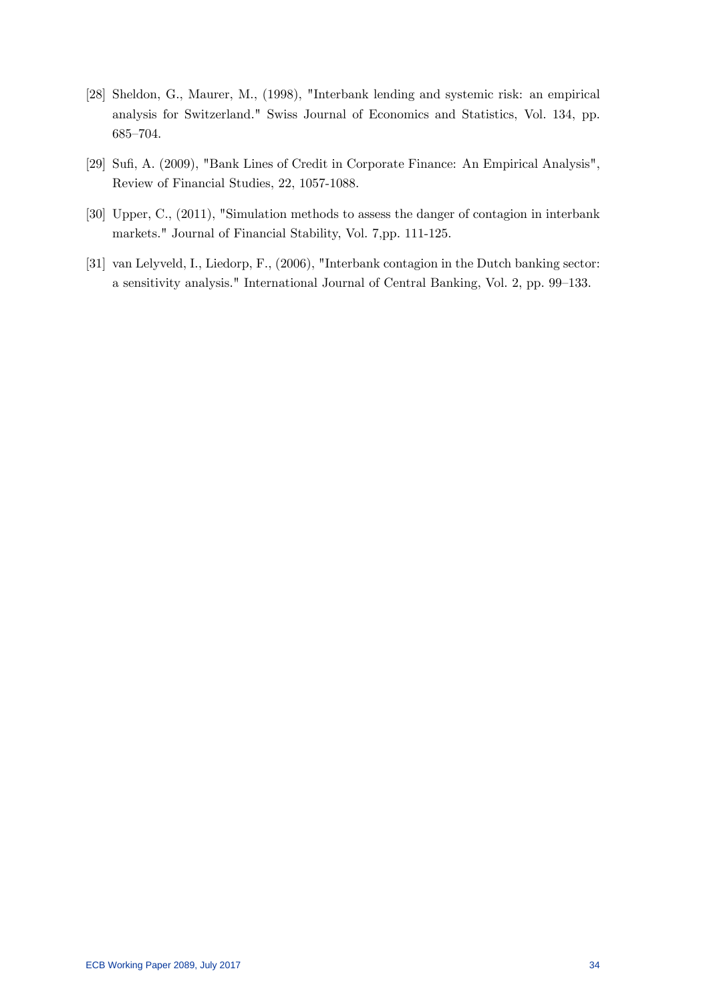- [28] Sheldon, G., Maurer, M., (1998), "Interbank lending and systemic risk: an empirical analysis for Switzerland." Swiss Journal of Economics and Statistics, Vol. 134, pp. 685-704.
- [29] Sufi, A. (2009), "Bank Lines of Credit in Corporate Finance: An Empirical Analysis", Review of Financial Studies, 22, 1057-1088.
- [30] Upper, C., (2011), "Simulation methods to assess the danger of contagion in interbank markets." Journal of Financial Stability, Vol. 7,pp. 111-125.
- [31] van Lelyveld, I., Liedorp, F., (2006), "Interbank contagion in the Dutch banking sector: a sensitivity analysis." International Journal of Central Banking, Vol. 2, pp. 99–133.